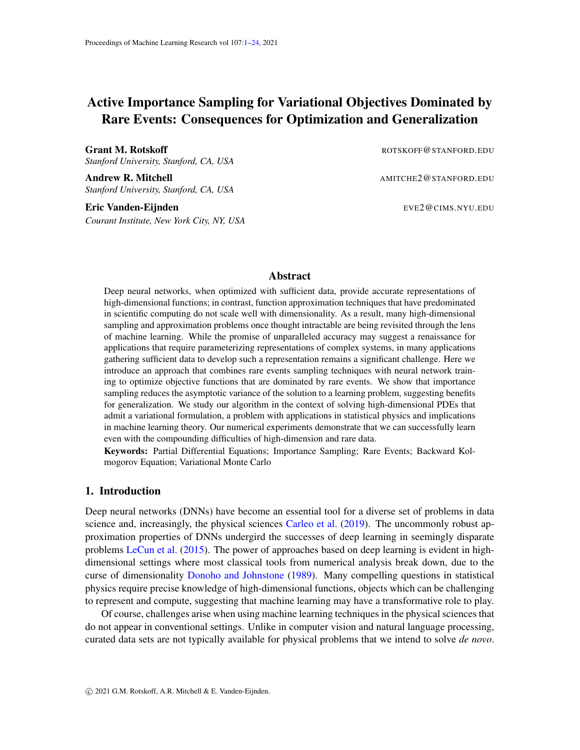# <span id="page-0-0"></span>Active Importance Sampling for Variational Objectives Dominated by Rare Events: Consequences for Optimization and Generalization

Grant M. Rotskoff **Rotskoff ROTSKOFF@STANFORD.EDU** *Stanford University, Stanford, CA, USA*

Andrew R. Mitchell **Amilton** AMITCHE2@STANFORD.EDU *Stanford University, Stanford, CA, USA*

Eric Vanden-Eijnden Erichte Eric Vanden-Eijnden Eric Van de Eric Van de Eric Van de Eric Van de Eric Van de E *Courant Institute, New York City, NY, USA*

# Abstract

Deep neural networks, when optimized with sufficient data, provide accurate representations of high-dimensional functions; in contrast, function approximation techniques that have predominated in scientific computing do not scale well with dimensionality. As a result, many high-dimensional sampling and approximation problems once thought intractable are being revisited through the lens of machine learning. While the promise of unparalleled accuracy may suggest a renaissance for applications that require parameterizing representations of complex systems, in many applications gathering sufficient data to develop such a representation remains a significant challenge. Here we introduce an approach that combines rare events sampling techniques with neural network training to optimize objective functions that are dominated by rare events. We show that importance sampling reduces the asymptotic variance of the solution to a learning problem, suggesting benefits for generalization. We study our algorithm in the context of solving high-dimensional PDEs that admit a variational formulation, a problem with applications in statistical physics and implications in machine learning theory. Our numerical experiments demonstrate that we can successfully learn even with the compounding difficulties of high-dimension and rare data.

Keywords: Partial Differential Equations; Importance Sampling; Rare Events; Backward Kolmogorov Equation; Variational Monte Carlo

## 1. Introduction

Deep neural networks (DNNs) have become an essential tool for a diverse set of problems in data science and, increasingly, the physical sciences [Carleo et al.](#page-16-0) [\(2019\)](#page-16-0). The uncommonly robust approximation properties of DNNs undergird the successes of deep learning in seemingly disparate problems [LeCun et al.](#page-17-0) [\(2015\)](#page-17-0). The power of approaches based on deep learning is evident in highdimensional settings where most classical tools from numerical analysis break down, due to the curse of dimensionality [Donoho and Johnstone](#page-16-1) [\(1989\)](#page-16-1). Many compelling questions in statistical physics require precise knowledge of high-dimensional functions, objects which can be challenging to represent and compute, suggesting that machine learning may have a transformative role to play.

Of course, challenges arise when using machine learning techniques in the physical sciences that do not appear in conventional settings. Unlike in computer vision and natural language processing, curated data sets are not typically available for physical problems that we intend to solve *de novo*.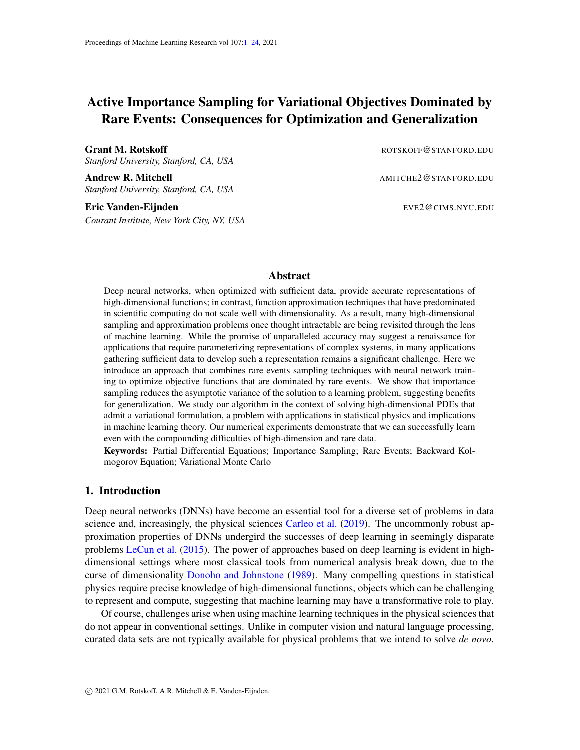As a result, we must generate the data either experimentally or computationally that we use to train our models.

Of particular interest in this context are problems involving high-dimensional partial differential equations (PDE) that can be formulated as variational minimization problems. Many PDEs of interest in statistical mechanics and quantum mechanics admit such a variational principle, and they lend themselves naturally to solution by machine learning techniques since the objective function can serve as a loss to train a neural network used to represent the solution. How to generate data to evaluate this objective constitutes, perhaps, the core challenge in problems of this type because the data that dominates the objective may be rare if sampled naively. In this work, we address this sampling problem.

Neural networks for variational PDEs. Consider a PDE whose solution can be found via the minimization problem

<span id="page-1-0"></span>
$$
\min_{f \in \mathcal{F}} I(f) \tag{1}
$$

Here

<span id="page-1-1"></span>
$$
f(f) = \int L(\boldsymbol{x}, f) d\nu(\boldsymbol{x}), \qquad (2)
$$

where <sup>d</sup>,  $\nu$  is some positive measure, and  $\mathcal{L}(\mathbf{x}, f)$  is some Lagrangian depending on  $\mathbf{x}$  as well as f and its derivatives: Typical examples are

<span id="page-1-3"></span>
$$
\mathcal{L}(\boldsymbol{x},f) = \frac{1}{2}j\Gamma\,f(\boldsymbol{x})j^2 + V(\boldsymbol{x})jf(\boldsymbol{x})j^2, \qquad d\nu(\boldsymbol{x}) = d\boldsymbol{x}, \tag{3}
$$

where  $V : \cup \cup \cap$  R is some potential, which gives the time-independent Schrödinger equation if we impose  $\int$   $jf(x)/^2 dx = 1$ , or

<span id="page-1-2"></span>
$$
\mathcal{L}(\boldsymbol{x},f) = \frac{1}{2}j\Gamma\,f(\boldsymbol{x})j^2, \qquad d\nu(\boldsymbol{x}) = e^{-\beta V(\boldsymbol{x})}d\boldsymbol{x} \qquad (\beta > 0)
$$
\n(4)

which gives the time-independent backward Kolomogorov equation if we impose some boundary conditions.

Variational Monte Carlo (VMC) procedures [Toulouse et al.](#page-18-0) [\(2016\)](#page-18-0) have been used to compute solutions to PDEs that admit this formulation. In this context, solutions are often computed using the Ritz method, which essentially amounts to optimizing the weights of specified, hand-chosen basis elements. Methods based on neural networks [Eigel et al.](#page-16-2) [\(2019\)](#page-16-2); [E and Yu](#page-16-3) [\(2017\)](#page-16-3) offer an alternative to VMC which may need less *a priori* information about the solution by relying on the approximation power of these networks.

Data acquisition and importance sampling. Training a neural network to represent the solution of the PDE by minimizing [\(1\)](#page-1-0) requires estimating the integral [\(2\)](#page-1-1). Because there is no data set given beforehand, the most straightforward implementation samples data points on from the measure  $\nu$ properly normalized. While natural, this approach is by no means optimal and it could even fail if the expectation of  $\mathcal{L}(\mathbf{x}, f)$  is dominated by events that are rare on  $\nu$ : a simple example illustrating this point is shown in Fig. [1.](#page-2-0) If is high dimensional, the variance of a simple estimator using unbiased samples from  $\nu$  will typically be large compared to its mean squared, and some form of importance sampling will therefore be required. If we were interested in estimating the loss  $I(f)$ , it is wellknown that the optimal way to draw samples would be to use the reweighted measure  $d\nu(x)$  =  $I^{-1}(f)/\mathcal{L}(\mathbf{x},f)/d\nu(\mathbf{x})$  and reweight the samples consistently using  $I(f)/\mathcal{L}(\mathbf{x},f)/^{-1}$  [Awad et al.](#page-15-0)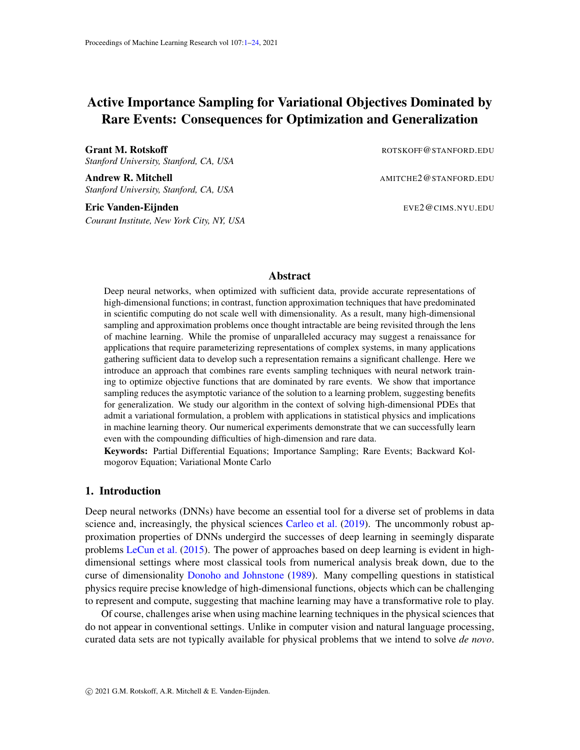

<span id="page-2-0"></span>Figure 1: Simple illustrative example where the objective  $I(q) = \int_{x_1}^{x_2} \int q'(x) \cdot \int_{-\infty}^{\infty} e^{-\beta V(x)} dx$ , with  $V(x) = (1$  $(2)^2 + x/10$ ,  $\beta = 8$ , and  $x_1$ ,  $x_2$  at the minima of  $V(x)$ , is minimized over sigmoid functions with two parameters  $a$  and  $b$ , controlling respectively their location and width  $-$  in this example, functions of this type do a good job at capturing the minimizer if  $\alpha$  and  $\beta$  are properly are adjusted. Top left panel: the minimizers of the population and the empirical losses are compared to the actual solution; top right panel: the histogram of the data acquired by drawing  $10<sup>4</sup>$  independent samples (shown as circles) from the Gibbs distribution restricted on  $x \nightharpoonup [x_1, x_2]$  is compared to the exact density; bottom panels: the population loss (left) is compared to the empirical loss (right) estimated on the data. Because the data is somewhat sparse near the maximum of  $V(x)$ that dominates the objective, the empirical loss does a bad job at capturing the features of the population loss – note in particular the different scale and the added ruggedness in the empirical loss. As a result, the function optimized over this empirical loss differs significantly from the minimizer of the population loss that approximates the exact solution well, leading to a large generalization error. Note that here we sampled the measure and identified the minimizers by brute-force: in more complicated situations there is the added difficulty of performing this sampling, and minimizing the empirical loss by SGD. For more details on this example, see Appendix [A](#page-19-0)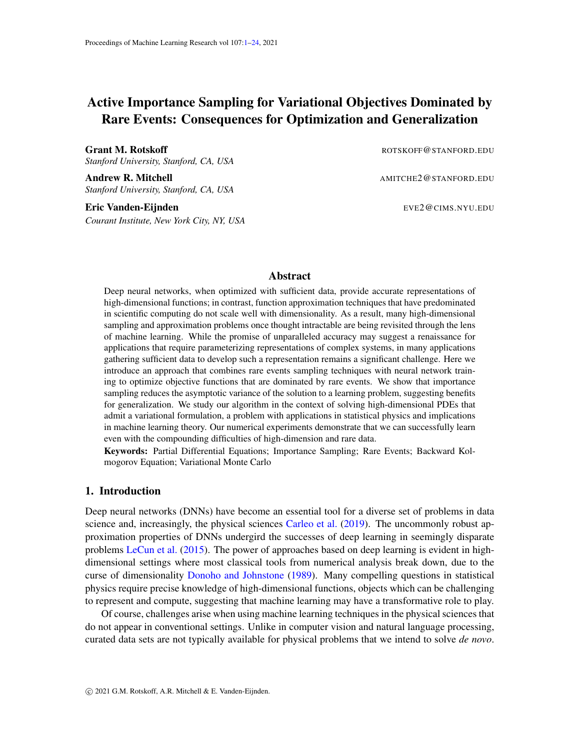[\(2013\)](#page-15-0). The difficulties with this approach are that the reweighted measure  $\nu$  may not be easy to sample, and the reweighting factor involves the unknown value  $I(f)$ .

We show below that an importance sampling strategy can, however, be applied to reduce the variance of the estimator for the loss (as our training procedure relies on data generated at every training step) associated with variational problems of the type [\(1\)](#page-1-0). We carry this out using umbrella sampling combined with replica exchange. These methods are widely used in applications from statistical mechanics because they offer a remedy to the problem of an objective dominated by rare data, but they are often rendered intractable becuase their practical design requires precise knowledge about where and how to sample. In our context, however, we can use the current estimate of the solution to inform and enhance the sampling in regions of the domain that contribute to the objective. The efficiency of such *active* learning approaches will be demonstrated below.

Reactive events and committor. As a specific application of practical interest that illustrates the general issues outlined above, we will focus on optimizing an objective of type [\(4\)](#page-1-2) for a target function known as the "committor function," or committor in short. The committor is useful to identify reaction pathways and sample reactive trajectories in problems displaying metastability, a central question in statistical mechanics with decades of work behind it. In this context, the committor describes the probability that a configuration will "react", by transiting from one metastable basin to another under the stochastic dynamics of the system under consideration. Parameterizing the committor accurately (as many functions related to rare transitions in applications in condensed matter physics) requires samples from configurations that are rare under the Boltzmann distribution, a fact emphasized by the ubiquity of importance sampling methods for free energy calculations. With this in mind, calculating the committor epitomizes why a naive sampling strategy will not succeed in general and importance sampling is necessary.

Related works. Importance sampling and other variance reduction techniques have appeared in a variety of contexts in machine learning. [Csiba and Richtarik](#page-16-4) [\(2018\)](#page-16-4) described and analyzed an algorithm that does importance sampling of the training set to adaptively select minibatches and accelerate gradient descent. Their work formalizes an approach, represented in a large body of work [Nesterov](#page-18-1) [\(2012\)](#page-18-1); [Roux et al.](#page-18-2) [\(2012\)](#page-18-2); [Johnson and Zhang](#page-17-1) [\(2013\)](#page-17-1), that aims to reduce the variance in the gradients when optimizing using stochastic gradient descent. In a separate line of inquiry, [Fan](#page-16-5) [et al.](#page-16-5) [\(2010\)](#page-16-5) uses importance sampling to perform approximate Bayesian inference in continuous time Bayesian networks. Our setting differs substantially from these works, as we are principally concerned with problems in which the data set is sampled on-the-fly from a Boltzmann distribution. Furthermore, we require importance sampling for the learning to be tractable at all, whereas the aforementioned works seek to accelerate optimization in otherwise tractable learning problems. Our theoretical results suggest that these previously studied approaches benefit generalization.

Our work parallels a line of inquiry in the Quantum Monte Carlo literature which has demon-strated the utility of neural network ansatze for electronic structure problems [Han et al.](#page-17-2) [\(2019\)](#page-17-2); [Hermann et al.](#page-17-3) [\(2020\)](#page-18-3); [Pfau et al.](#page-18-3) (2020). Though the physical setting is quite different from the one we consider here, these works also rely on a strategy in which the data is collected online and there is feedback between training and data collection. Regarding the application to metastability, transition path sampling methods are perhaps the most closely related to our approach [Bolhuis et al.](#page-15-1) [\(2002\)](#page-15-1); [Maragliano et al.](#page-18-4) [\(2006\)](#page-18-4); [E et al.](#page-16-6) [\(2005\)](#page-16-6). Our applications are heavily influenced by the perspective of potential theory [Bovier et al.](#page-16-7) [\(2002\)](#page-16-7) and transition path theory [E and Vanden-Eijnden](#page-16-8) [\(2006,](#page-16-8) [2010\)](#page-16-9), which use the notion of the committor function (discussed in detail below) to charac-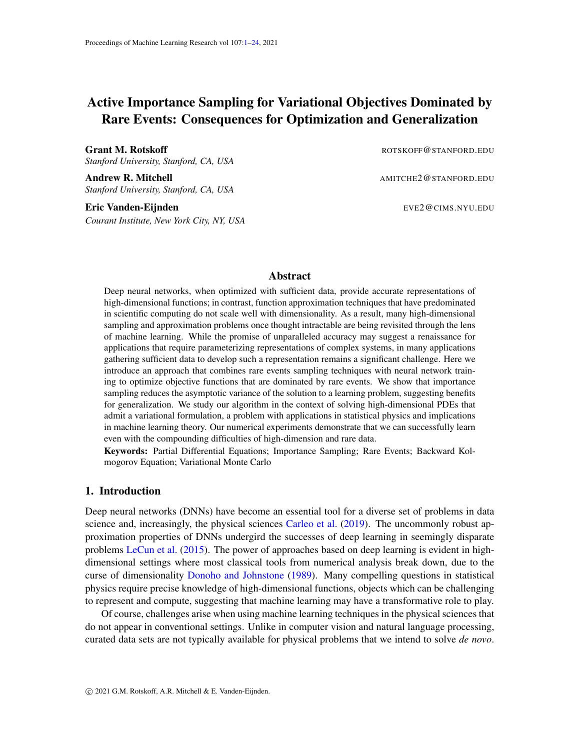terize metastability. [Khoo et al.](#page-17-4) [\(2018\)](#page-17-4) first considered the problem of learning committor functions from the perspective of solving high-dimensional PDEs but did not address the sampling issues that can arise in computing the objective. Our approach most closely follows that of [Li et al.](#page-17-5) [\(2019\)](#page-17-5), who also examined the problem of optimizing a representation of the committor using neural networks on low-dimensional landscapes. Our work extends this approach in several important ways: first, our algorithm uses an *active* approach—the importance sampling directly uses the committor function meaning that there is feedback between the optimization and the data collection. In high-dimensional systems in which selecting a reaction coordinate presents a challenging design problem, our approach is crucial for effective sampling because we avoid explicitly constructing a reaction coordinate.

Main contributions. First, under very general assumptions, we show that importance sampling asymptotically improves the generalization error. Next, we describe an algorithm for *active* importance sampling that enables variance reduction for the estimator of the loss function, even in high-dimensional settings. Finally, we demonstrate numerically that this algorithm performs well both on low and high-dimensional examples and that, even when the total amount of data is fixed, optimizing the variational objective fails when importance sampling is not used.

## <span id="page-4-1"></span>2. Online learning and generalization error

Suppose we parametrize the function  $f$  entering the objective function in  $(1)$  using a neural network, i.e. we set  $f(x) = f(x, \theta)$ , where  $f(\theta, \theta)$  is the network output and  $\theta \geq R^N$  collectively denotes all the parameters entering this network. This turns [\(1\)](#page-1-0) into an objective function for the parameters  $\theta$ :

$$
L(\boldsymbol{\theta}) = I(f(\cdot,\boldsymbol{\theta})) = \int \ell(\boldsymbol{x},\boldsymbol{\theta}) d\nu(\boldsymbol{x}) \qquad (5)
$$

where

$$
\ell(\boldsymbol{x},\boldsymbol{\theta}) = \mathcal{L}(\boldsymbol{x},f(\cdot,\boldsymbol{\theta})) \tag{6}
$$

In the jargon of machine learning,  $L(\theta)$  is called the population loss or risk, and in practice, it must be estimated using an empirical estimate. The simplest choice for the empirical loss is

$$
L_n(\boldsymbol{\theta}) = \frac{1}{n} \sum_{i=1}^n \ell(\boldsymbol{x}_i, \boldsymbol{\theta})
$$
\n(7)

where  $\hat{r}x_i g_{i=1}^n$  are *iid* drawn from  $\nu$  (assuming this positive measure is normalized). This offers the possibility to optimize the parameters  $\theta$  by gradient descent (GD), i.e. using

<span id="page-4-0"></span>
$$
\boldsymbol{\theta}^{k+1} = \boldsymbol{\theta}^k \quad \alpha \cap \boldsymbol{\theta} L_n(\boldsymbol{\theta}^k), \qquad k = 0, 1, 2, \dots \tag{8}
$$

where  $\theta^k$  denote the successive updates of the parameters starting from some initial  $\theta^0$  and  $\alpha > 0$ is some time step (learning rate). In situations in which no data set is available beforehand, it is customary to use online learning, i.e. to generate new independent batches of data  $f_{x_i}g_{i=1}^n$  after each (or a few) step(s) of the GD update. In [\(8\)](#page-4-0): each  $\hat{r}x_i\hat{g}_{i=1}^n$  is called a minibatch, and the update in [\(8\)](#page-4-0) is the widely used stochastic gradient descent (SGD) algorithm.

In this setup, the main issue becomes how to assess the quality of an approximation of the minimizer(s) of the population risk that we obtain using SGD. To phrase this question more precisely,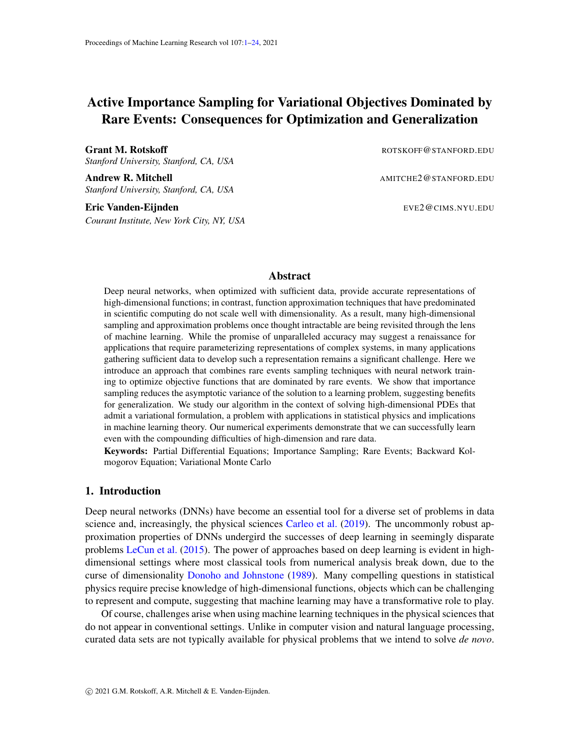let us denote by  $f\theta^k g_{k \in N_0}$  the successive update of the parameters by GD over the population risk, i.e.

<span id="page-5-0"></span>
$$
\boldsymbol{\theta}^{k+1} = \boldsymbol{\theta}^k \quad \alpha \cap \boldsymbol{\theta} L(\boldsymbol{\theta}^k), \qquad k = 0, 1, 2, \dots \tag{9}
$$

Let us assume that: Given some initial value  $\theta^0$ , the GD update in [\(9\)](#page-5-0) converges towards a local minimizer of the population risk,  $\pmb{\theta}^* = \lim_{k \to \infty} \pmb{\theta}^k$ , satisfying

<span id="page-5-5"></span>
$$
\Gamma_{\theta}L(\theta^*) = 0, \qquad H^* = \Gamma_{\theta} \Gamma_{\theta}L(\theta^*) \quad \text{is positive-definite}
$$
 (10)

Note that this assumption does not specify how good the local minimizer  $\theta^*$  is (i.e. how close  $L(\theta^*)$  is from min<sub> $\theta$ </sub>  $L(\theta)$ ) but it requires that  $L(\theta)$  be strictly convex in the vicinity of  $\theta^*$ . Similar assumptions have been used to study SGD as variational inference [Mandt et al.](#page-17-6) [\(2017\)](#page-17-6). This assumption implies:

<span id="page-5-2"></span>**Proposition 1** The sequence  $\tau \theta^k g_{k \in \mathbb{N}_0}$  obtained using the SGD update in [\(8\)](#page-4-0) starting from  $\theta^0 =$  $\boldsymbol{\theta}^0$  and using an independent batch of data  $\lceil \boldsymbol{x}_i\mathcal{G}_{i=1}^n$  drawn from  $\nu$  at every step is such that

<span id="page-5-1"></span>
$$
\lim_{k \to \infty} \lim_{n \to \infty} n \mathbb{E}_D[L(\boldsymbol{\theta}^k) \quad L(\boldsymbol{\theta}^*)] = \frac{1}{2} \alpha \, \text{tr}[C^* H^*] \tag{11}
$$

Here  $\mathsf{E}_D$  denotes expectation over all the batches used to compute the sequence  $\bm{\theta}^k$ , and  $C^*$  is the N N *tensor that solves*

<span id="page-5-4"></span>
$$
H^*C^* + C^*H^* \quad \alpha C^*H^*C^* = B^* \tag{12}
$$

*where*  $B^*$  *is the covariance of*  $\varphi \circ \theta(x, \theta^*)$  *(using*  $\varphi$   $\varphi$   $(L(\theta^*) = 0)$ 

<span id="page-5-3"></span>
$$
B^* = \int \mathcal{L} \theta \ell(x, \theta^*) [\mathcal{L} \theta \ell(x, \theta^*)]^T d\nu(x) \tag{13}
$$

The proof of this proposition is given in Appendix [B.](#page-20-0) Essentially, it amounts to linearizing the sequence  $\tau\bm{\theta}^k g_{k\in\mathbb{N}_0}$  from SGD around  $\tau\bm{\theta}^k g_{k\in\mathbb{N}_0}$  from GD: the resulting sequence is the discretized version of an Ornstein-Ulhenbeck process that can be analyzed exactly.

Even though the statement in [\(11\)](#page-5-1) is only asymptotic in n and k, it suggests that for large k and large  $n$ , we will have

$$
E_D L(\theta^k) = L(\theta^*) + \frac{1}{2}n^{-1}\alpha \operatorname{tr}[C^*H^*] + \text{higher order corrections in } n \tag{14}
$$

Therefore, if we can guarantee that  $\theta^*$  is a good local minimizer of the loss (which has to do with the choice of network architecture and how well-tailored it is to the problem at hand, the choice of the initial  $\theta^0$ , etc.), [\(11\)](#page-5-1) indicates that the error made by learning using SGD rather than GD can be controlled by: (i) increasing the size n of the batches, (ii) decreasing the learning rate  $\alpha$ , or (iii) reducing  $tr[C^*H^*]$ . The first two observations are standard and are at the core of the Robbins-Monro stochastic approximation procedure [Robbins and Monro](#page-18-5) [\(1951\)](#page-18-5). The third observation is also not surprising from the proof of Proposition [1](#page-5-2) which shows that  $n^{-1}\alpha C^*$  is asymptotic covariance of the update  $\theta^k$  from the SGD sequence around its mean  $\theta^k$ .

Interestingly, reducing tr[ $C^*H^*$ ] essentially amounts to reducing tr  $B^*$  with  $B^*$  defined in [\(13\)](#page-5-3). Indeed, to leading order in  $\alpha$ , we see from [\(12\)](#page-5-4) that

$$
\text{tr}[C^*H^*] = \frac{1}{2} \text{tr } B^* + O(\alpha) \tag{15}
$$

Reducing  $tr B^*$  is precisely what we show how to do next using importance sampling.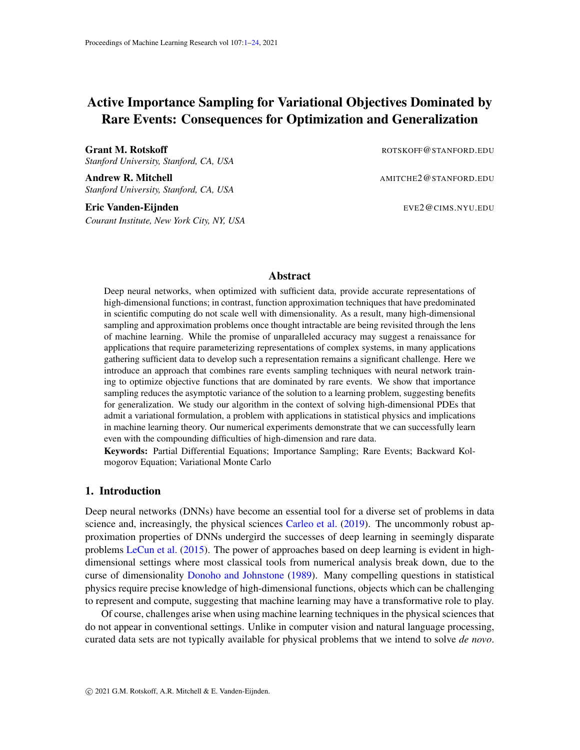

<span id="page-6-0"></span>Figure 2: Simple illustrative experiment; the potential energy function is a 2D mixture of Gaussians and the committor is represented as a single hidden layer neural network. Top (results using our active importance sampling algorithm): Filled contours illustrate the Müller-Brown potential  $(38)$  $(38)$  with the isocommittor lines are shown from white to black. Notably, level set  $q = 0.5$  coincides with the saddle, as expected. Right: We verify that this solution is consistent with the expected committor function by sampling 100 configurations for each window  $0.1, 0.2, \ldots$  and running Langevin trajectories to compute estimate the committor probability. The fraction of trajectories reaching  $B$  before  $A$  is close to the expected value. Bottom: Without importance sampling, the optimization converges to a representation of the committor  $q$  with poor performance. Left: The contours of the committor fail to localize to the transition region. Right: The committor analysis shows that without importance sampling, the results deviate strongly from the expected probabilities.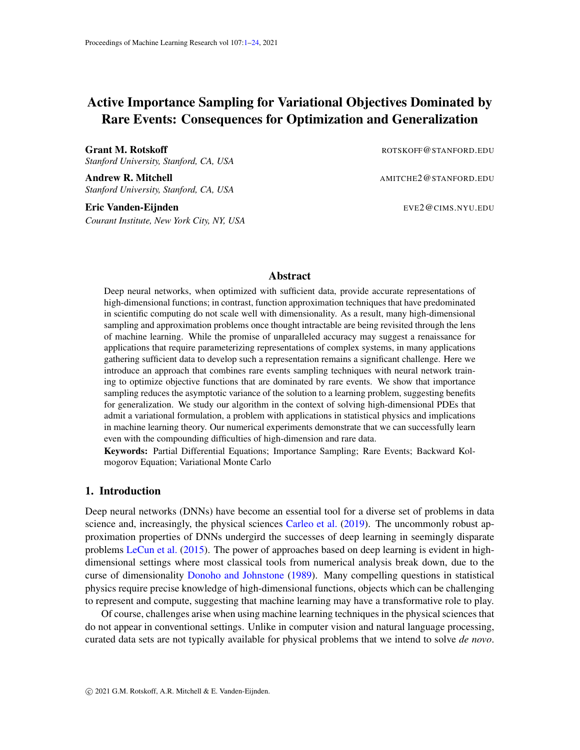# 3. Active learning with umbrella sampling and replica exchange

To reduce the variance of the estimator for  $L$ , we will use an importance sampling strategy that combines umbrella sampling [Torrie and Valleau](#page-18-6) [\(1977\)](#page-18-6) (cf. stratification [Dinner et al.](#page-16-10) [\(2020\)](#page-16-10)) with replica exchange [Swendsen and Wang](#page-18-7) [\(1986\)](#page-18-7); [Fukunishi et al.](#page-17-7) [\(2002\)](#page-17-7). The first method uses windowing functions to enhance the sampling in otherwise rarely sampled regions of the data distribution; the second allows for exchange between these windows to accelerate sampling even further. Both these methods are widely used: the novelty lies in the way we actively define the windowing functions using the current estimate of the target function f by its network representation  $f(\theta, \theta)$ . In Appendix [C](#page-21-0) we discuss an active importance sampling scheme based on direct reweighting which could be used to reduce the variance in the estimate of the gradient of the loss.

#### 3.1. Umbrella sampling

Let us denote these windowing functions as a set of non-negative functions  $W_l(x)$  0 with  $l =$  $1, \ldots, L$  such that

<span id="page-7-3"></span>
$$
\beta x \ 2 \qquad : \quad \sum_{l=1}^{L} W_l(x) = 1, \tag{16}
$$

Given any test function  $\phi$  :  $\theta$  R, we can write

<span id="page-7-2"></span>
$$
\mathsf{E}_{\nu}\phi = \sum_{l=1}^{L} \int_{\mathbb{R}^d} \phi(\boldsymbol{x}) W_l(\boldsymbol{x}) d\nu(\boldsymbol{x}) \sum_{l=1}^{L} w_l \mathsf{E}_l \phi \qquad (17)
$$

where we defined the expectation

$$
E_l \phi = Z_l^{-1} \int_{\mathbb{R}^d} \phi(\boldsymbol{x}) W_l(\boldsymbol{x}) d\nu(\boldsymbol{x}) \quad \text{where} \quad Z_l = \int_{\mathbb{R}^d} W_l(\boldsymbol{x}) d\nu(\boldsymbol{x}) \tag{18}
$$

as well as the weights

$$
w_l = \mathbb{E}_{\nu} W_l. \tag{19}
$$

By choosing  $\phi(x) = W_{l}(\alpha x)$  in this expression, we deduce that the weights satisfy the eigenvalue problem [Thiede et al.](#page-18-8) [\(2016\)](#page-18-8)

<span id="page-7-0"></span>
$$
w_{l^0} = \sum_{l=1}^{L} w_{l} p_{ll^0}, \quad l' = 1, \dots, L, \quad \text{subject to} \quad \sum_{l=1}^{L} w_l = 1, \tag{20}
$$

where we defined

<span id="page-7-1"></span>
$$
p_{ll^{\theta}} = \hbar W_{l^{\theta}} i_l \tag{21}
$$

In practice, we can sample  $Z_l^{-1}W_l(x)d\nu(x)$  by Metropolis-Hastings Monte-Carlo on a potential biased by  $log W_l(x)$  and compute expectations in this ensemble as

$$
\mathsf{E}_{l}\phi\quad \frac{1}{n}\sum_{i=1}^{n}\phi(\boldsymbol{x}_{i,l}),\qquad \boldsymbol{x}_{i,l}\quad Z_{l}^{-1}W_{l}(\boldsymbol{x})d\nu(\boldsymbol{x})\tag{22}
$$

This allows us to estimate  $E_l\phi$  in [\(20\)](#page-7-0) as well as  $p_{ll}\phi$  in [\(21\)](#page-7-1): knowledge of the latter quantity enables us to solve the eigenvalue problem in [\(20\)](#page-7-0) to find the weights  $w_l$ , and finally estimate  $E_{\nu}\phi$  via [\(17\)](#page-7-2).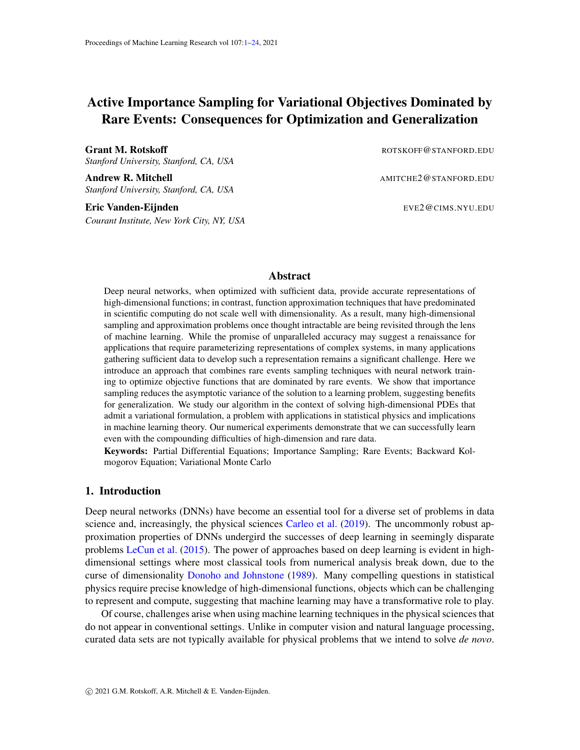## 3.2. Replica Exchange

The sampling can be accelerated by using replica exchange between the ensembles in the different windows, which alleviates potential problems due to metastability within these windows. This amounts to constructing a stochastic process on the extended phase space  $L^L P_L$ , where  $P_L$  is the permutation group of the  $L$  replica, such that its joint equilibrium measure on this extended space is given by

<span id="page-8-0"></span>
$$
d\nu_{\sigma}(dx_1,\ldots,dx_L) = \frac{1}{L!} \prod_{l=1}^L Z_l^{-1} W_{\sigma(l)}(x_l) d\nu(x_l)
$$
\n(23)

where  $\sigma \supseteq P_L$  denotes a permutation of the indices  $f_1, 2, \ldots, Lg$  and  $\sigma(l)$  is the index on which l is mapped by this permutation. A process in detailed-balance with respect to  $\nu_{\sigma}$  can be implemented e.g. in the form of a stochastic switching process [Lu and Vanden-Eijnden](#page-17-8) [\(2019\)](#page-17-8). In practice, we sample the measures  $Z_l^{-1}W_l(x)d\nu(x)$  independently in each windows for intervals of duration  $t_{swap}$ , then attempt to exchange configurations in two windows l and  $m \notin l$  uniformly picked in  $f_1, \ldots, Lg$  and  $f_1, \ldots, Lg_n$  flg respectively, and accept this move with a Metropolis acceptance probability consistent with [\(23\)](#page-8-0). Assuming that  $d\nu(x) = Z^{-1} \exp\left(-V(x)\right) dx$  where  $V : \cup \cup \cup \cup$ is some potential and  $Z = \int \exp(-V(x))dx$ , and denoting  $V_l(x) = V(x)$  log  $W_l(x)$ , this acceptance probability reads

$$
\operatorname{acc}(\boldsymbol{x}_l, \boldsymbol{x}_m) = \min\left[1, \exp\left(-V_l(\boldsymbol{x}_m) - V_m(\boldsymbol{x}_l) + V_l(\boldsymbol{x}_l) + V_m(\boldsymbol{x}_m)\right)\right]. \tag{24}
$$

## 3.3. Adaptive choice of the windows

As of yet, we have not specified the windowing functions  $W_l(x)$ . Because the  $W_l(x)$  determine where the samples concentrate a "good" choice of these functions is crucial for the success of the sampling scheme. Here we propose to make this choice adaptive to the function  $f(x, \theta)$  that is being optimized, by dividing space into regions where  $f(x, \theta)$  takes specific values. To this end, let

$$
\sigma(u) = \frac{1}{1 + e^{-u}}\tag{25}
$$

and given  $u_0 < u_1 < u_2 < \cdots < u_L$  and some  $k > 0$ , define

$$
W_l(\boldsymbol{x}) = \sigma(k(f(\boldsymbol{x}, \boldsymbol{\theta}) \quad u_{l-1})) \quad \sigma(k(f(\boldsymbol{x}, \boldsymbol{\theta}) \quad u_l)), \qquad l = 1, \ldots, L \tag{26}
$$

In the applications considered below f is a probability and hence its range is restricted to [0, 1]. As a result we have

$$
\partial \mathbf{x} \quad 2 \qquad : \quad \sum_{l=1}^{L} W_l(\mathbf{x}) = \sigma \left( k(f(\mathbf{x}, \boldsymbol{\theta}) - u_0) \right) \quad \sigma \left( k(f(\mathbf{x}, \boldsymbol{\theta}) - u_L) \right) \tag{27}
$$
\n
$$
\sigma(-ku_0) \quad \sigma(k(1 - u_L))
$$

That is if we take k large enough and pick  $u_0 = a$  and  $u_L = 1 + a$  with  $a > 0$  such that ka 1, the non-negative functions  $W_l(x)$  can be made to satisfy [\(16\)](#page-7-3) to arbitrary precision exponentially fast in ak. The functions  $W_l(x)$  are also peaked around  $f(x, \theta) = \frac{1}{2}(u_l + u_{l-1})$  which means that by taking enough values of  $u_l$  between  $u_0 = a$  and  $u_l = 1 + a$  we can cover all the range of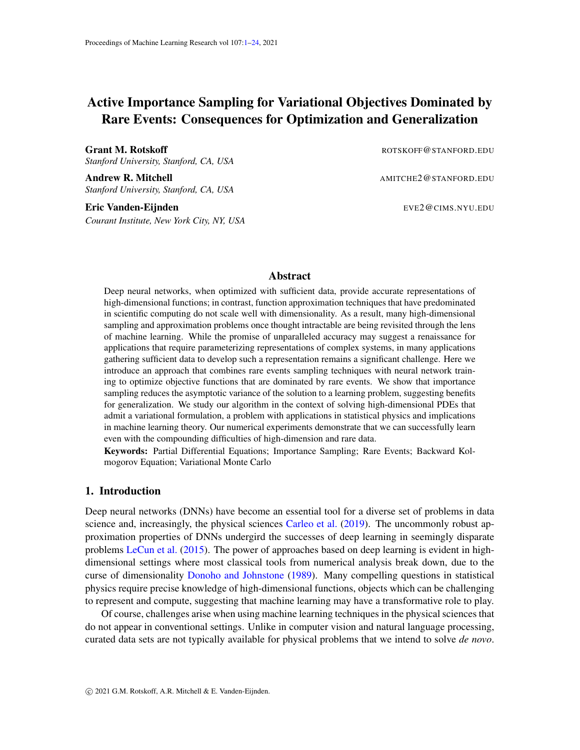Algorithm 1: Importance Sampled Variational Stochastic Gradient Descent.

**Data:** Lagrangian  $\ell(x, \theta) = \mathcal{L}(x, f(\theta))$ , initial  $\theta, n \geq N, L \geq N, \alpha > 0, k > 0$ ,  $u_0 < \ldots < u_L$ . while  $\Gamma_{\theta}L_n(\theta) > \epsilon_{\text{tol}}$  do for  $l = 1, \ldots, L$  do for  $i = 1, \ldots, n$  do Sample  $x_{i,l}$   $Z_l^{-1}W_l(x)d\nu(x);$ Propose replica swaps; end Compute  $p_{l,l^0} = \frac{1}{n}$ n  $\sum_{n=1}^{\infty}$  $i=1$  $W_{l}(\boldsymbol{x}_{i,l})$  for  $l' = 1, \ldots, L$ , and  $\boldsymbol{G}_l[\boldsymbol{\theta}] = \frac{1}{n}$  $\sum_{n=1}^{\infty}$  $i=1$  $\varGamma_{\boldsymbol{\theta}}\ell(\boldsymbol{x}_{i,l}, \boldsymbol{\theta})$ end Solve [\(20\)](#page-7-0) for  $w_l, l = 1, ..., L;$ Compute  $\int \rho L_n(\theta) = \frac{1}{L}$  $\sum$ L  $l=1$  $\bm{G}_l(\bm{\theta})w_l$ Update  $\theta$   $\theta$   $\alpha \theta$ <sub>θ</sub> $L_n(\theta)$ ; end Result: θ

possible values for  $f(x, \theta)$ . The  $u_l$  can be spaced linearly, or, to concentrate sampling near the rapidly varying part of the committor function can be spaced geometrically away from  $u_l = 1/2$ .

An explicit scheme putting these steps together with SGD is described in Algorithm [1,](#page-9-0) where we provide a description of the most straightforward implementation of our approach. Algorithm [1](#page-9-0) is sequential; a version in which we evolve  $x_{i,l}$  and  $\theta$  concurrently would allow for significant wallclock speed-ups.

# <span id="page-9-0"></span>4. Application: High-dimensional Backward Kolmogorov Equations (BKE)

Within the framework of statistical mechanics, the evolution of complex physical systems can be described by probability distributions and expectations that solve partial differential equations like the Fokker-Planck equation or the backward Kolmogorov equation (BKE). Because systems of practical interest are often high-dimensional, these PDEs are typically not solved directly—rather we resort to Monte-Carlo sampling methods or molecular dynamics simulations to estimate the system distribution. Our aim here is to investigate whether we can bypass these sampling methods, and go back to solving the relevant PDEs, using tools from ML.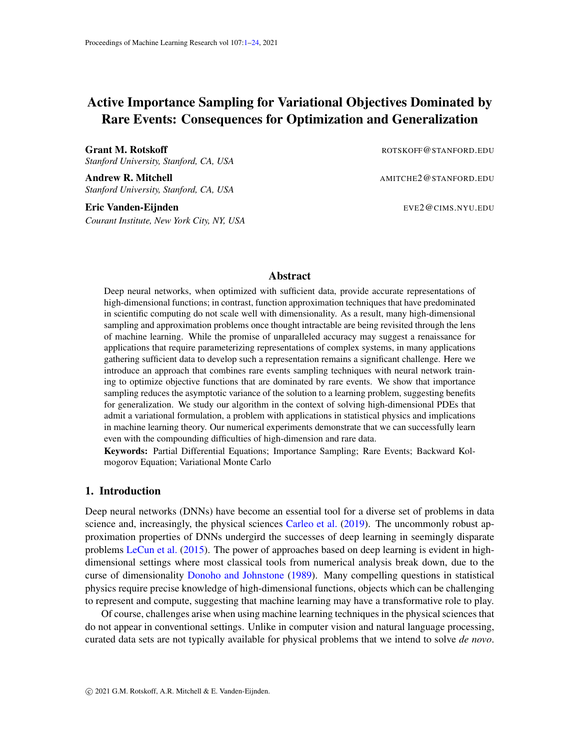## 4.1. The metastability problem

We will focus on one specific problem often encountered in practice: how to analyze the dynamics of systems displaying metastability—i.e. evolution that occurs on a wide range of very different time-scales. Consider in particular a physical system with coordinates  $\mathbf{X}_t \supseteq \mathbb{R}^d$  whose evolution is governed by the Langevin equation

<span id="page-10-0"></span>
$$
d\mathbf{X}_t = \Gamma V(\mathbf{X}_t)dt + \sqrt{2\beta^{-1}}d\mathbf{W}_t.
$$
 (28)

Here  $V : \mathbb{R}^d$  ! [0, 7 ) is a potential energy function,  $\beta > 0$ , which controls the magnitude of the fluctuations, is typically interpreted as the inverse temperature in physical systems, and  $W_t$ is a Wiener process. This dynamics, or its variant with momentum included, is ubiquitously used to model molecular dynamics in the condensed phase but has also been proposed as a heuristic model for stochastic optimization methods like SGD [Yaida](#page-18-9) [\(2018\)](#page-18-9) and sampling-based optimization schemes [Ma et al.](#page-17-9) [\(2019\)](#page-17-9).

In the context of a system with a dynamics governed by  $(28)$ , metastability arises when the system remains confined in some region of its phase space for very long periods of time and seldom makes a transition to another such region. In general, it is not possible to directly observe the transitions between these metastable states using trajectories generated by  $(28)$  because the state space is very high dimensional in nontrivial cases and these transitions are by definition very infrequent.

Solving a high-dimensional PDE offers an alternative, in principle. Indeed metastability can be characterized mathematically as the property that the spectrum of the infinitesimal generator associated with [\(28\)](#page-10-0) has a "spectral gap" between a set of low-lying eigenvalues with small magnitude compared to the rest of them—these low lying eigenvalues specify the rates of transition between metastable states, while the associated eigenfunctions describe their mechanism [Bovier et al.](#page-16-7) [\(2002\)](#page-16-7); [Gaveau and Schulman](#page-17-10) [\(1998\)](#page-17-10). The eigenvalue/eigenfunction pairs solve the minimization problem

<span id="page-10-1"></span>
$$
\lambda_k = \min_{\varphi} Z^{-1} \int_{\mathbb{R}^d} j r \, \varphi_k(\boldsymbol{x}) j^2 e^{-\beta V(\boldsymbol{x})} d\boldsymbol{x}, \qquad k \, 2 \, \mathbb{N}_0 \tag{29}
$$

where  $Z = \int_{\mathbb{R}^d} e^{-\beta V(x)} dx$  and successive eigenfunctions are obtained by requiring that they be orthonormal to the previous ones: starting from  $\varphi_0 = 1$  with  $\lambda_0 = 0$ , for  $k \geq N$ , we impose

$$
Z^{-1}\int_{\mathbb{R}^d}\varphi_k(\boldsymbol{x})\varphi_{k^0}(\boldsymbol{x})e^{-\beta V(\boldsymbol{x})}d\boldsymbol{x}=\delta_{k,k^0} \text{ for } k'=0,\ldots,k
$$
 (30)

This gives  $0 = \lambda_0 < \lambda_1$ 

While the minimization problem in  $(29)$  fits the framework of  $(1)$ , in complex systems there may be hundreds or thousands of metastable states, and only a few of them are actually relevant [Cameron](#page-16-11) [and Vanden-Eijnden](#page-16-11) [\(2014\)](#page-16-11). In this context, it is preferable to focus on one transition of interest at a time. This can be achieved using the potential theoretic framework to metastability [Bovier et al.](#page-16-7) [\(2002\)](#page-16-7); [Bovier](#page-16-12) [\(2006\)](#page-16-12) or transition path theory (TPT) [E and Vanden-Eijnden](#page-16-8) [\(2006,](#page-16-8) [2010\)](#page-16-9), and this is the approach we will focus on next.

## 4.2. Potential approach via BKE

Suppose we want to quantify the average rate and mechanism by which the solution to the Langevin equation [\(28\)](#page-10-0) makes a transition from a state  $A$  $d$  to a distinct state  $B \t R^d$ . This can be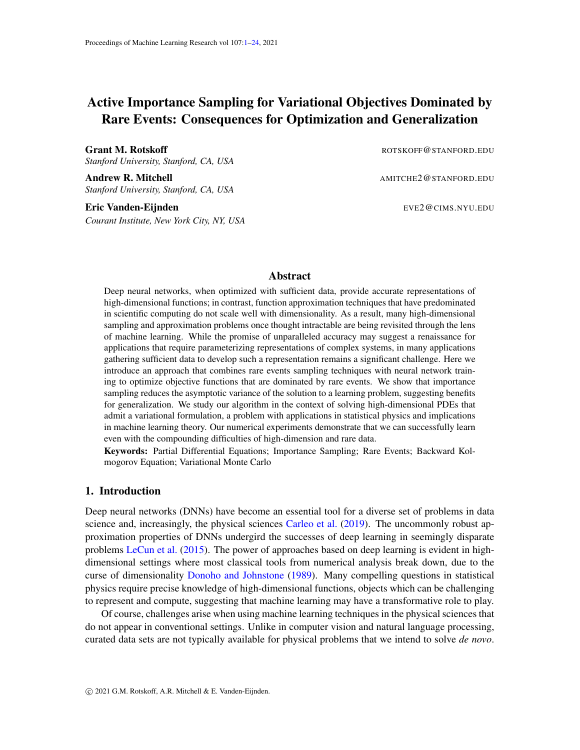done by calculating the "committor function"  $q : \mathbb{R}^d$  ! [0, 1], which gives the probability that a trajectory starting at  $x$  first reaches  $B$  before  $A$ :

$$
q(\boldsymbol{x}) := \mathbb{P}^{\boldsymbol{x}}(t_B < t_A)
$$
\n(31)

where  $t_A = \inf \mathcal{H} : x(t) \supseteq Ag$  and similarly for  $t_B$ . Under the dynamics [\(28\)](#page-10-0), the committor  $q(x)$ solves the backward Kolmogorov equation

<span id="page-11-0"></span>
$$
\begin{cases}\n(Lq)(x) = 0 & \text{for } x \in A \mid B \\
q(x) = 0 & \text{for } x \ge A \\
q(x) = 1 & \text{for } x \ge B.\n\end{cases}
$$
\n(32)

where  $L$  is the infinitesimal generator of the process defined by  $(28)$ :

$$
Lq = \Gamma V \quad \Gamma q \quad \beta^{-1} \quad q. \tag{33}
$$

It can be shown that, with appropriate choice of A and B,  $q(x)$  can be asymptotically related to a eigenfunction  $\varphi_k$  in the low-lying part of the spectrum as  $\varphi_k(x) = aq(x) + b$  for some appropriate choice of a and  $b$ —we refer the interested reader to [Bovier](#page-16-12) [\(2006\)](#page-16-12) for details. Here we will focus on using the active learning method we propose to solve the backward Kolmogorov equation in [\(32\)](#page-11-0) in high dimension, i.e. in a setup where we would not be able to solve it using classical numerical PDE methods such as the finite element method. Specifically, our goal in the next sections is to define a parametric representation of the committor function by a neural network and an objective function that enables us to optimize the parameters in this network via active learning with importance sampling.

## 4.3. Variational loss functions for learning the committor

The committor satisfies a Ritz-type variational principle [\(3\)](#page-1-3) that the can be employed directly as an objective function: That is, the solution to the BKE  $(32)$  is the minimizer of

$$
\inf_{q} C(q) \quad \text{subject to} \quad q = 0 \quad \text{in} \quad A \quad \text{and} \quad q = 1 \quad \text{in} \quad B \tag{34}
$$

where

<span id="page-11-1"></span>
$$
C(q) = \int_{\mathbb{R}^d} j \Gamma q(\boldsymbol{x}) j^2 d\nu(\boldsymbol{x}) \quad \text{with} \quad d\nu(\boldsymbol{x}) = Z^{-1} e^{-\beta V(\boldsymbol{x})} d\boldsymbol{x} \tag{35}
$$

In the optimization procedure below, it is more tractable to penalize deviations from the boundary conditions rather than impose them as constraints. Consequently, we add penalty terms in [\(35\)](#page-11-1) to ensure that the committor has the right values on  $A$  and  $B$  and the objective function we will use is

$$
C_{\lambda}(q) = \int_{\mathbb{R}^d} j r q(\boldsymbol{x}) j^2 d\nu(\boldsymbol{x}) + \lambda \int_A j q(\boldsymbol{x}) j^2 d\nu(\boldsymbol{x}) + \lambda \int_B j 1 \quad q(\boldsymbol{x}) j^2 d\nu(\boldsymbol{x}) \qquad (36)
$$

where  $\lambda > 0$  is an adjustable parameter. This objective function is of the type in [\(2\)](#page-1-1) with

<span id="page-11-2"></span>
$$
\mathcal{L}(\boldsymbol{x},q) = j\Gamma q(\boldsymbol{x})j^{2} + \lambda/q(\boldsymbol{x})j^{2}1_{A}(\boldsymbol{x}) + \lambda j1 \quad q(\boldsymbol{x})j^{2}1_{B}(\boldsymbol{x}) \qquad (37)
$$

where  $1_A(x)$  and  $1_B(x)$  denote the indicator functions of sets A and B, respectively.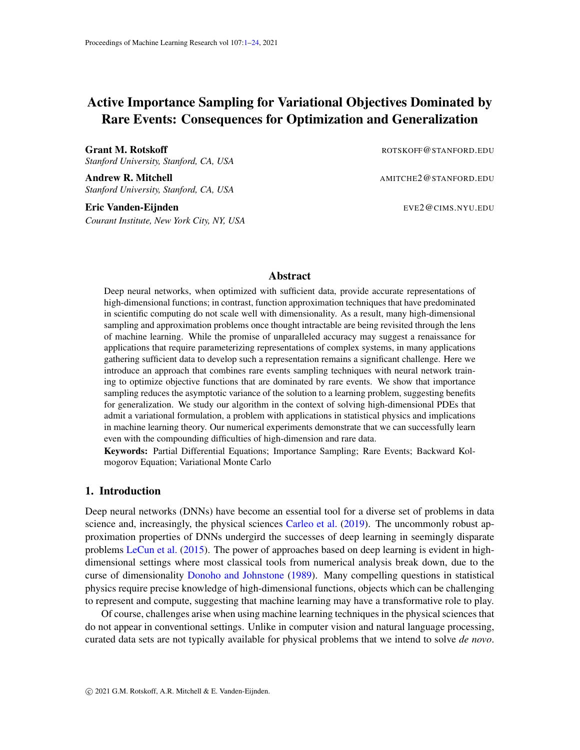As discussed above, it is natural to model the minimizer of this cost functional as a neural network. Given some representation  $f(\theta)$  with parameter set  $f \theta \mathcal{G}_{i=1}^n$ , the problem becomes to minimize  $C_{\lambda}$  over this set. We discuss the specific architectures that we use in applications below, but any neural network architecture is admissible within in this scheme, provided that it gives an output in the range [0, 1], which is simple to achieve in practice by passing the output through a sigmoidal function (Appendix  $D$ ). Even this condition can be relaxed: We describe an alternative formulation of the committor (cf. [Lu and Vanden-Eijnden](#page-17-11) [\(2014\)](#page-17-11)) in Appendix [E](#page-23-1) which can be solved with distinct boundary conditions. The scheme we have described here could be implemented using symmetry functions or collective variables, which we leave for future work.

#### 4.4. Numerical Experiments

# 4.4.1. MÜLLER-BROWN POTENTIAL

As a proof of concept, we optimize the committor function on the well-studied Müller-Brown potential Müller and Brown  $(1979)$ . We consider the dynamics  $(28)$  for a 2D system evolving in a Gaussian mixture potential

<span id="page-12-0"></span>
$$
V_{\text{MB}}(x) = \sum_{k=1}^{4} A_k \exp\left(-{(x - \nu_k)^T} \frac{-1}{k}(x - \nu_k)\right)
$$
 (38)

with

$$
A = (200, 100, 170, 15)
$$
  
\n
$$
\nu = \begin{pmatrix} 1 \\ 0 \end{pmatrix}, \begin{pmatrix} 0 \\ 0.5 \end{pmatrix}, \begin{pmatrix} 0.5 \\ 1.5 \end{pmatrix}, \begin{pmatrix} 1 \\ 1 \end{pmatrix}
$$
  
\n
$$
^{-1} = \begin{pmatrix} 1 & 0 \\ 0 & 10 \end{pmatrix}, \begin{pmatrix} 1 & 0 \\ 0 & 10 \end{pmatrix}, \begin{pmatrix} 6.5 & 5.5 \\ 5.5 & 6.5 \end{pmatrix}, \begin{pmatrix} 0.7 & 0.3 \\ 0.3 & 0.7 \end{pmatrix}
$$
 (39)

Our results, shown in Fig. [2,](#page-6-0) demonstrate the importance sampling is required to converge a robust estimate of the committor.

While the contours of the committor provide a reasonable guide, a "committor analysis" gives a more precise test of convergence. To carry this analysis out, we sampled 100 distinct initial configurations from each window (where  $q = 0.1, 0.2, \ldots$ ) and then ran unbiased Langevin dynamics to compute  $min(t(A), t(B))$ . Histograms of this calculation show that active importance sampling leads to trajectories that reach  $B$  before  $A$  with the expected probabilities. However, without importance sampling estimate of q performs poorly.

We represent the committor as a single-hidden layer ReLU network with  $m = 100$  units. The output of the ReLU network is passed through a sigmoidal function to compress the range because the committor represents a probability. To initialize the representation, we take a discretized linear interpolation between the center of basins  $A$  and  $B$  and optimize the representation to match the normalized distance along this path. At each optimization step, we collect 50 samples from each of the 10 windows in  $q$ -space. We use this sample to estimate the gradient after reweighting, as described above. We run the optimization for a total of 1000 optimization steps using 50 samples per window per optimization step with a restraint of  $k = 100$  in the windowing function.

To make a systematic comparison, we ran a control experiment in which we used a single unbiased trajectory (that is, no importance sampling) to carry out the optimization. The total number of samples from this trajectory (10000 optimization steps with 50 samples per step) was chosen to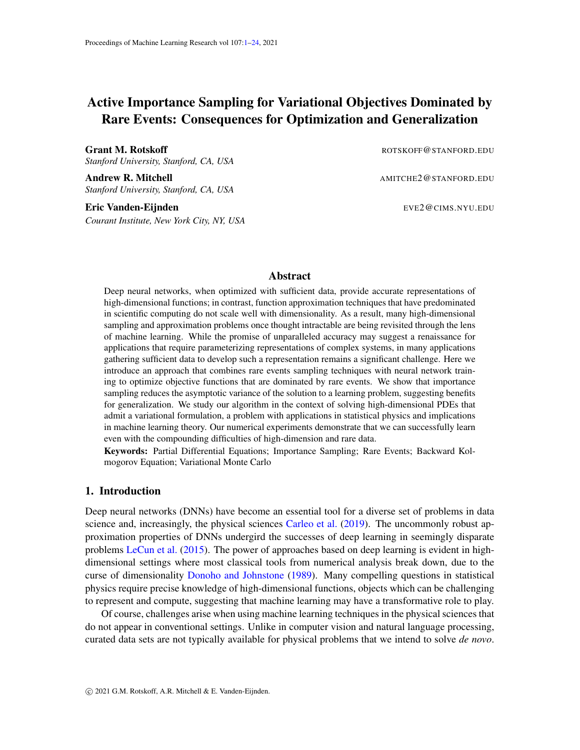be equal to the total amount of data collected in our importance sampling optimization. As shown in Fig. [2,](#page-6-0) this approach does not succeed.

## 4.4.2. ALLEN-CAHN-TYPE SYSTEM

Unlike standard approaches to computing the committor (e.g., finite elements), the algorithm outlined here also succeeds when the input space is high-dimensional. As a non-trivial test of robustness, we will consider the following example building on a discretized version of the Allen-Cahn equation in two-dimension. Let us start from

<span id="page-13-0"></span>
$$
\partial_t \rho = D \rho + \rho \rho^3, \qquad \rho : [0, 1] \quad [0, 1]^2 / R
$$
 (40)

with the Dirichlet boundary conditions

$$
\rho(t, z_1, z_2) = +1
$$
, for  $z_1 = 0, 1$ ,  $\rho(t, z_1, z_2) = 1$ , for  $z_2 = 0, 1$ , (41)

The Allen-Cahn equation is the gradient flow in  $L^2$  over the energy functional

<span id="page-13-2"></span>
$$
E(\rho) = \int_{[0,1]^2} \left(\frac{1}{2}Dj\Gamma \rho(z)\right)^2 + \frac{1}{4}(1 - j\rho(z)\right)^2 d\mathbf{z}
$$
 (42)

If we take  $D$  small enough, this energy admits two minimizers, which are also the stable fixed points of  $(40)$  that solve

$$
D \quad \rho + \rho \quad \rho^3 = 0 \tag{43}
$$

These fixed points are either mostly  $\rho = 1$  in the domain, with boundary layer of size  $D^{-1/2}$  near  $z_2 = 0, 1$ , or mostly  $\rho = 1$ , with boundary layer of size  $D^{-1/2}$  near  $z_1 = 0, 1$ . These two solutions are depicted in Fig. [3.](#page-14-0)

To build the model that we will actually study, let us discretize [\(40\)](#page-13-0) on a lattice with spacing  $h = 1/(N \t 1)$  and introduce

$$
\rho_{i,j} = \rho(ih, jh), \qquad i, j = 1, \dots, N \tag{44}
$$

We also add some additive noise to the discretized equation to arrive at the Langevin equation

<span id="page-13-1"></span>
$$
d\rho_{i,j} = (\rho_{i,j} \quad \rho_{i,j}^3 + D(\gamma \rho_{i,j}) dt + \sqrt{2\beta^{-1}} h^{-1} dW_{i,j}
$$
 (45)

Here  $W_{i,j}$  is set of independent Wiener processes,  $N$  is the discrete Laplacian,

$$
(\gamma \rho)_{i,j} = h^{-2} \left( \rho_{i+1,j} + \rho_{i-1,j} + \rho_{i,j+1} + \rho_{i,j-1} - 4 \rho_{i,j} \right), \tag{46}
$$

and the boundary conditions read

$$
\rho_{i,j} = 1, \quad \text{for } i = 0, N + 1, \quad j = 1, ..., N, \n\rho_{i,j} = 1, \quad \text{for } j = 0, N + 1, \quad i = 1, ..., N.
$$
\n(47)

We also set  $\rho_{0,0} = \rho_{0,N+1} = \rho_{N+1,0} = \rho_{N+1,N+1} = 0$ .

If we take D and  $\beta^{-1}$  small enough, the Langevin equation [\(45\)](#page-13-1) displays metastability: the solution stays confined for long period of times in regions near the fixed points of the deterministic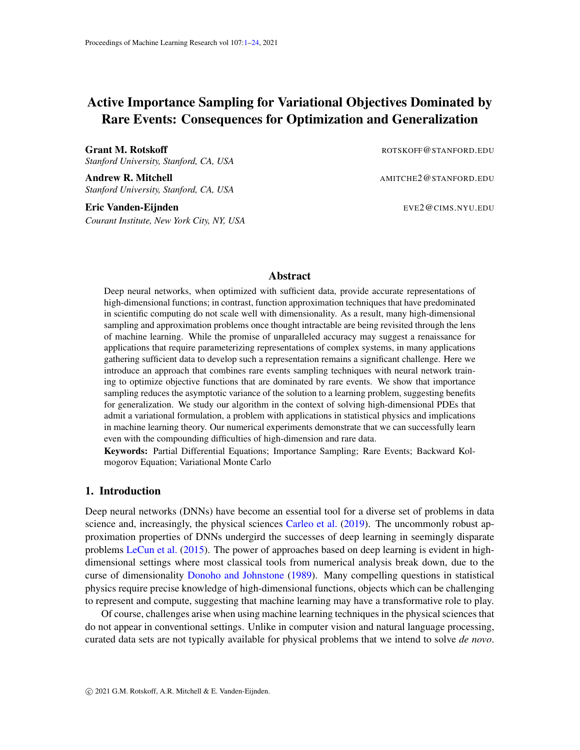

<span id="page-14-0"></span>Figure 3: Top left and right: The two metastable solutions of  $(45)$  with Dirichlet boundary conditions ( $\rho = 1$  at the left and right boundaries,  $\rho = 1$  at the top and bottom boundaries). Top center: Decay of the loss of as a function of training step for 10 runs of the optimization with random initial conditions. Bottom: A sample transition path obtained by sampling the biased ensemble with  $(q = 0, \ldots, 1)$ . The path shows the characteristic nucleation pathway for a transition between the two metastable states, with the expected hourglass shape.

equation (obtained by setting  $\beta^{-1} = 0$  in [\(45\)](#page-13-1)) and only rarely make transition between these regions. This can be confirmed by looking at the equilibrium distribution of [\(45\)](#page-13-1):

<span id="page-14-1"></span>
$$
d\nu(\rho) = Z^{-1} e^{-\beta V(\rho)} d\rho \tag{48}
$$

where we denote  $\rho = (\rho_{i,j})_{i,j=1}^N$ ,  $Z = \int_{\mathbb{R}^{2N}} e^{-\beta V(\rho)} d\rho$  and the potential  $V(\rho)$  is the discrete equivalent to  $(42)$ :

$$
V(\rho) = h^{-2} \sum_{i,j=1}^{N} \left( \frac{1}{2} D j (r_N \rho)_{i,j} j^2 + \frac{1}{4} (1 - j \rho_{i,j} j^2)^2 \right)
$$
(49)

where  $r_N$  is the discrete gradient so that

$$
j(r_N \rho)_{i,j}j^2 = h^{-2} (\rho_{i+1,j} \rho_{i,j})^2 + h^{-2} (\rho_{i,j+1} \rho_{i,j})^2.
$$
 (50)

For small  $\beta^{-1}$  the distribution [\(48\)](#page-14-1) is nearly atomic on the two minimizers of  $V(\rho)$  shown in Fig. [3.](#page-14-0), and the question is how do rare transitions occur between these metastable state and at which average rate. This question can be answered by solving the BKE for the committor associated with [\(45\)](#page-13-1)

We solved this problem using the active learning method outlined before in a situation where  $N = 12$ , i.e. the state space is  $12^2 = 144$  dimensional. We use a single hidden layer ReLU network with  $m = 100$  neurons which is passed through a sigmoidal function at the output layer to ensure that the range of q is  $(0, 1)$ . The network is initialized by linearly interpolating homogeneous configurations in magnetization space, which provides no *a priori* information about the spatial structure of the transition path. We carried out the optimization with 12 total windows, including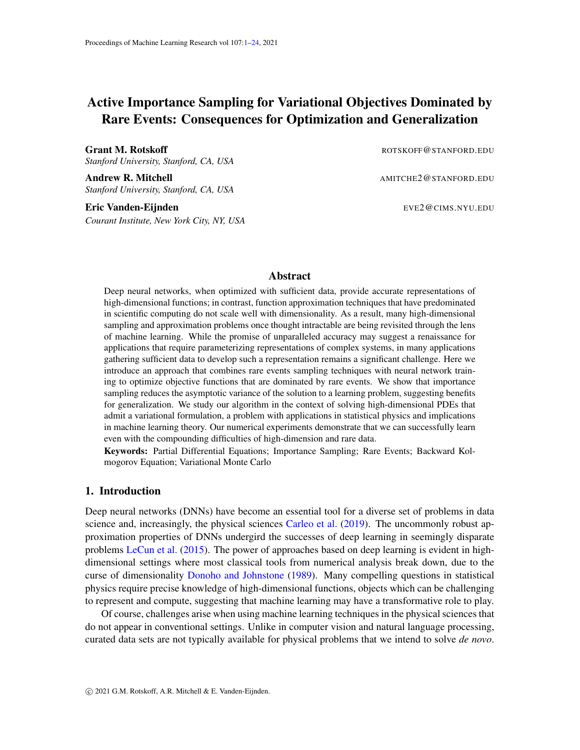the boundary windows, with a learning rate of 5  $10^{-2}$  for 5000 steps with 25 sampling steps per window.

As shown in Fig. [3,](#page-14-0) this shows the characteristic pathway for a transition between the two metastable states, with the expected hourglass shape as transition state [Kohn et al.](#page-17-12) [\(2007\)](#page-17-12) that can also be identified by the string method [E et al.](#page-16-13)  $(2002, 2007)$  $(2002, 2007)$  $(2002, 2007)$  or the minimum action method in this specific example [E et al.](#page-16-15) [\(2004\)](#page-16-15); [Heymann and Vanden-Eijnden](#page-17-13) [\(2008\)](#page-17-13). It should be noted that the initial increase in the loss function arises due to an initial representation of the transition path that is not consistent with the dynamics of the model and that once representative configurations are sampled, the estimate of the loss improves.

## 5. Conclusion and Future Work

The approach we propose here enables optimization in contexts in which the loss function is dominated by data that is exceedingly rare with respect to its equilibrium measure. While we have both theoretical and numerical evidence that this approach is effective for high-dimensional problems and improves generalization, further evidence from physics applications would bolster our current findings. In particular, we must test our approach on more complicated systems, like those typically arising in biophysics. In such systems, there may be multiple pathways connecting two metastable states, a complication that we did not investigate thoroughly here.

In some sense, the promise of machine learning for solving committor equations can be conceptualized by interpreting these problems as classification problems. In the examples we consider, the primary task directly resembles binary classification in which the network is attempting to find a dividing surface between classes in a high dimensional space. The isocommittor surface is defined by the dynamical fate of points in this space and collecting data to adequately resolve the location of the boundary is typically impossible without importance sampling.

While our algorithm and code can easily employ any neural network architecture, we used very simple neural networks for the examples in this paper. Finding architectures that are well-adapted to a given physical system remains an important challenge [Kearnes et al.](#page-17-14) [\(2016\)](#page-17-14). Additionally, there are natural improvements to the implementation of our algorithm: adaptive windowing, more sophisticated reweighting schemes, and exploiting the "embarrassingly parallel" structure of the computation to obtain computational speed-ups.

The class of PDEs that we consider here could be generalized to include Ritz-type objectives with forcing terms, as well. Problems that are driven away from the equilibrium Gibbs distribution pose significant challenges for existing sampling techniques and represent an important target for future work.

## References

- <span id="page-15-0"></span>Hernan P. Awad, Peter W. Glynn, and Reuven Y. Rubinstein. Zero-Variance Importance Sampling Estimators for Markov Process Expectations. *Mathematics of Operations Research*, 38(2):358–388, May 2013. ISSN 0364-765X, 1526-5471. doi: 10.1287/moor.1120.0569.
- <span id="page-15-1"></span>Peter G Bolhuis, David Chandler, Christoph Dellago, and Phillip L Geissler. Transition path sampling: Throwing ropes over rough mountain passes, in the dark. *Annu. Rev. Phys. Chem.*, 53(1):291–318, 2002. doi: 10.1146/annurev.physchem.53.082301.113146.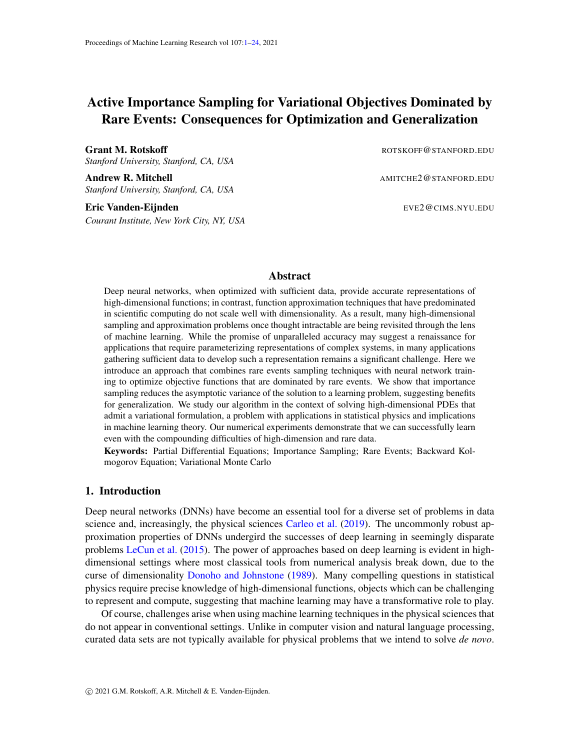- <span id="page-16-12"></span>Anton Bovier. Metastability: A potential theoretic approach. *Proceedings of the International Congress of Mathematicians*, page 20, 2006.
- <span id="page-16-7"></span>Anton Bovier, Michael Eckhoff, Veronique Gayrard, and Markus Klein. Metastability and Low Lying Spectra ´ in Reversible Markov Chains. *Communications in Mathematical Physics*, 228(2):219–255, June 2002. ISSN 0010-3616, 1432-0916. doi: 10.1007/s002200200609.
- <span id="page-16-11"></span>Maria Cameron and Eric Vanden-Eijnden. Flows in Complex Networks: Theory, Algorithms, and Application to Lennard–Jones Cluster Rearrangement. *Journal of Statistical Physics*, 156(3):427–454, August 2014. ISSN 0022-4715, 1572-9613. doi: 10.1007/s10955-014-0997-8.
- <span id="page-16-0"></span>Giuseppe Carleo, Ignacio Cirac, Kyle Cranmer, and Laurent Daudet. Machine learning and the physical sciences\*. *Rev. Mod. Phys.*, 91(4):39, 2019. doi: 10/ggd5qv.
- <span id="page-16-4"></span>Dominik Csiba and Peter Richtarik. Importance Sampling for Minibatches. *Journal of Machine Learning Research*, 19:21, 2018.
- <span id="page-16-10"></span>Aaron R. Dinner, Erik H. Thiede, Brian Van Koten, and Jonathan Weare. Stratification as a general variance reduction method for markov chain monte carlo. *SIAM/ASA Journal on Uncertainty Quantification*, 8(3): 1139–1188, 2020. doi: 10.1137/18M122964X. URL <https://doi.org/10.1137/18M122964X>.
- <span id="page-16-1"></span>David L. Donoho and Iain M. Johnstone. Projection-based approximation and a duality with kernel methods. *Ann. Statist.*, 17(1):58–106, 03 1989. doi: 10.1214/aos/1176347004. URL [https://doi.org/10.](https://doi.org/10.1214/aos/1176347004) [1214/aos/1176347004](https://doi.org/10.1214/aos/1176347004).
- <span id="page-16-8"></span>Weinan E and Eric Vanden-Eijnden. Towards a Theory of Transition Paths. *Journal of Statistical Physics*, 123(3):503–523, May 2006. ISSN 0022-4715, 1572-9613. doi: 10/b3pwgn.
- <span id="page-16-9"></span>Weinan E and Eric Vanden-Eijnden. Transition-Path Theory and Path-Finding Algorithms for the Study of Rare Events. *Annual Review of Physical Chemistry*, 61(1):391–420, March 2010. ISSN 0066-426X, 1545-1593. doi: 10.1146/annurev.physchem.040808.090412.
- <span id="page-16-3"></span>Weinan E and Bing Yu. The Deep Ritz method: A deep learning-based numerical algorithm for solving variational problems. *arXiv:1710.00211 [cs, stat]*, September 2017.
- <span id="page-16-13"></span>Weinan E, Weiqing Ren, and Eric Vanden-Eijnden. String method for the study of rare events. *Phys. Rev. B*, 66(5):052301, August 2002. doi: 10.1103/PhysRevB.66.052301.
- <span id="page-16-15"></span>Weinan E, Weiqing Ren, and Eric Vanden-Eijnden. Minimum action method for the study of rare events. *Communications on pure and applied mathematics*, 57(5):637–656, 2004.
- <span id="page-16-6"></span>Weinan E, Weiqing Ren, and Eric Vanden-Eijnden. Finite temperature string method for the study of rare events. *J. Phys. Chem. B*, 109(14):6688–6693, 2005.
- <span id="page-16-14"></span>Weinan E, Weiqing Ren, and Eric Vanden-Eijnden. Simplified and improved string method for computing the minimum energy paths in barrier-crossing events. *The Journal of Chemical Physics*, 126(16):164103, 2007. doi: 10.1063/1.2720838. URL <https://doi.org/10.1063/1.2720838>.
- <span id="page-16-2"></span>Martin Eigel, Reinhold Schneider, Philipp Trunschke, and Sebastian Wolf. Variational Monte Carlo—bridging concepts of machine learning and high-dimensional partial differential equations. *Advances in Computational Mathematics*, 45(5):2503–2532, December 2019. ISSN 1572-9044. doi: 10.1007/s10444-019-09723-8.
- <span id="page-16-5"></span>Yu Fan, Jing Xu, and Christian R Shelton. Importance Sampling for Continuous Time Bayesian Networks. *Journal of Machine Learning Research*, 11:2115–2140, 2010.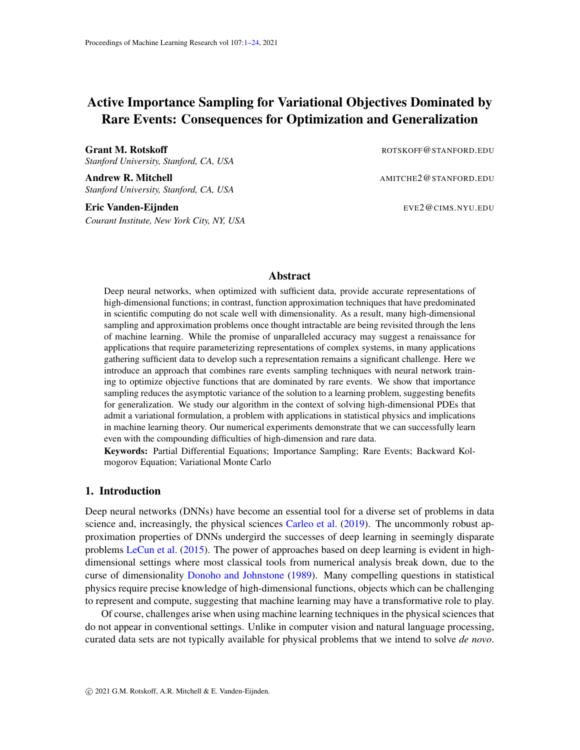- <span id="page-17-7"></span>Hiroaki Fukunishi, Osamu Watanabe, and Shoji Takada. On the Hamiltonian replica exchange method for efficient sampling of biomolecular systems: Application to protein structure prediction. *The Journal of Chemical Physics*, 116(20):9058–9067, May 2002. ISSN 0021-9606. doi: 10.1063/1.1472510.
- <span id="page-17-10"></span>Bernard Gaveau and L. S. Schulman. Theory of nonequilibrium first-order phase transitions for stochastic dynamics. *Journal of Mathematical Physics*, 39(3):1517–1533, March 1998. ISSN 0022-2488, 1089-7658. doi: 10.1063/1.532394.
- <span id="page-17-2"></span>Jiequn Han, Linfeng Zhang, and Weinan E. Solving many-electron Schrodinger equation using deep neural ¨ networks. *Journal of Computational Physics*, 399:108929, December 2019. ISSN 0021-9991. doi: 10. 1016/j.jcp.2019.108929.
- <span id="page-17-3"></span>Jan Hermann, Zeno Schätzle, and Frank Noé. Deep-neural-network solution of the electronic Schrödinger equation. *Nature Chemistry*, 12(10):891–897, October 2020. ISSN 1755-4349. doi: 10.1038/ s41557-020-0544-y.
- <span id="page-17-13"></span>Matthias Heymann and Eric Vanden-Eijnden. The geometric minimum action method: A least action principle on the space of curves. *Communications on Pure and Applied Mathematics: A Journal Issued by the Courant Institute of Mathematical Sciences*, 61(8):1052–1117, 2008.
- <span id="page-17-1"></span>Rie Johnson and Tong Zhang. Accelerating stochastic gradient descent using predictive variance reduction. In C. J. C. Burges, L. Bottou, M. Welling, Z. Ghahramani, and K. Q. Weinberger, editors, *Advances in Neural Information Processing Systems 26*, pages 315–323. Curran Associates, Inc., 2013.
- <span id="page-17-14"></span>Steven Kearnes, Kevin McCloskey, Marc Berndl, Vijay Pande, and Patrick Riley. Molecular graph convolutions: Moving beyond fingerprints. *Journal of Computer-Aided Molecular Design*, 30(8):595–608, August 2016. ISSN 1573-4951. doi: 10.1007/s10822-016-9938-8.
- <span id="page-17-4"></span>Yuehaw Khoo, Jianfeng Lu, and Lexing Ying. Solving for high dimensional committor functions using artificial neural networks. *arXiv*, February 2018.
- <span id="page-17-12"></span>Robert V Kohn, Felix Otto, Maria G Reznikoff, and Eric Vanden-Eijnden. Action minimization and sharpinterface limits for the stochastic Allen-Cahn equation. *Communications on Pure and Applied Mathematics: A Journal Issued by the Courant Institute of Mathematical Sciences*, 60(3):393–438, 2007.
- <span id="page-17-0"></span>Yann LeCun, Yoshua Bengio, and Geoffrey Hinton. Deep learning. *Nature*, 521(7553):436–444, May 2015. doi: 10.1038/nature14539.
- <span id="page-17-5"></span>Qianxiao Li, Bo Lin, and Weiqing Ren. Computing Committor Functions for the Study of Rare Events Using Deep Learning. *The Journal of Chemical Physics*, 151(5):054112, August 2019. ISSN 0021-9606, 1089-7690. doi: 10.1063/1.5110439.
- <span id="page-17-11"></span>Jianfeng Lu and Eric Vanden-Eijnden. Exact dynamical coarse-graining without time-scale separation. *The Journal of Chemical Physics*, 141(4):044109, July 2014. ISSN 0021-9606, 1089-7690. doi: 10/gf3xf4.
- <span id="page-17-8"></span>Jianfeng Lu and Eric Vanden-Eijnden. Methodological and computational aspects of parallel tempering methods in the infinite swapping limit. *Journal of Statistical Physics*, 174(3):715–733, 2019.
- <span id="page-17-9"></span>Yi-An Ma, Yuansi Chen, Chi Jin, Nicolas Flammarion, and Michael I. Jordan. Sampling can be faster than optimization. *Proceedings of the National Academy of Sciences*, 116(42):20881–20885, October 2019. ISSN 0027-8424, 1091-6490. doi: 10.1073/pnas.1820003116.
- <span id="page-17-6"></span>Stephan Mandt, Matthew D. Hoffman, and David M. Blei. Stochastic gradient descent as approximate bayesian inference. *Journal of Machine Learning Research*, 18(134):1–35, 2017.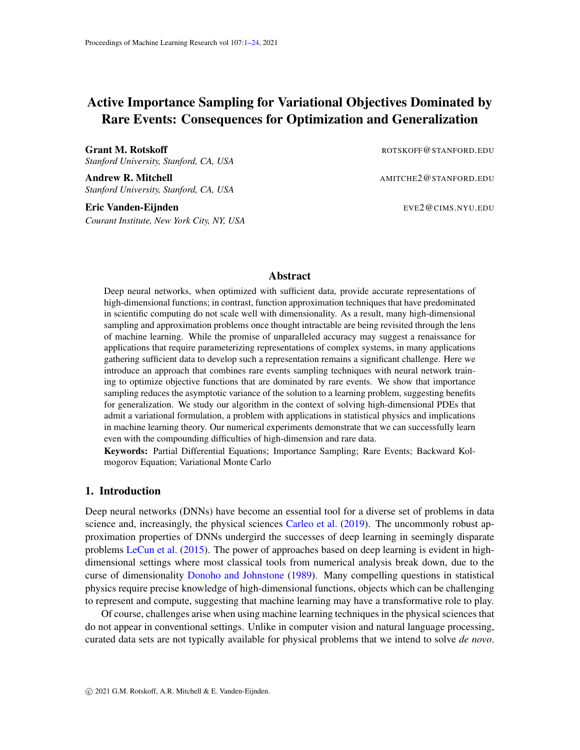- <span id="page-18-4"></span>Luca Maragliano, Alexander Fischer, Eric Vanden-Eijnden, and Giovanni Ciccotti. String method in collective variables: Minimum free energy paths and isocommittor surfaces. *J. Chem. Phys.*, 125(2):024106, July 2006. doi: 10.1063/1.2212942.
- <span id="page-18-10"></span>Klaus Müller and Leo D Brown. Location of saddle points and minimum energy paths by a constrained simplex optimization procedure. *Theoretica chimica acta*, 53(1):75–93, 1979.
- <span id="page-18-1"></span>Yu. Nesterov. Efficiency of Coordinate Descent Methods on Huge-Scale Optimization Problems. *SIAM Journal on Optimization*, 22(2):341–362, January 2012. ISSN 1052-6234, 1095-7189. doi: 10.1137/ 100802001.
- <span id="page-18-3"></span>David Pfau, James S. Spencer, Alexander G. D. G. Matthews, and W. M. C. Foulkes. Ab initio solution of the many-electron Schrn"odinger equation with deep neural networks. *Physical Review Research*, 2(3): 033429, September 2020. doi: 10.1103/PhysRevResearch.2.033429.
- <span id="page-18-5"></span>Herbert Robbins and Sutton Monro. A stochastic approximation method. *Ann. Math. Statist.*, 22(3): 400–407, 09 1951. doi: 10.1214/aoms/1177729586. URL [https://doi.org/10.1214/aoms/](https://doi.org/10.1214/aoms/1177729586) [1177729586](https://doi.org/10.1214/aoms/1177729586).
- <span id="page-18-2"></span>Nicolas L. Roux, Mark Schmidt, and Francis R. Bach. A stochastic gradient method with an exponential convergence Rate for finite training sets. In F. Pereira, C. J. C. Burges, L. Bottou, and K. Q. Weinberger, editors, *Advances in Neural Information Processing Systems 25*, pages 2663–2671. Curran Associates, Inc., 2012.
- <span id="page-18-7"></span>Robert H. Swendsen and Jian-Sheng Wang. Replica monte carlo simulation of spin-glasses. *Phys. Rev.* Lett., 57:2607-2609, Nov 1986. doi: 10.1103/PhysRevLett.57.2607. URL [https://link.aps.org/](https://link.aps.org/doi/10.1103/PhysRevLett.57.2607) [doi/10.1103/PhysRevLett.57.2607](https://link.aps.org/doi/10.1103/PhysRevLett.57.2607).
- <span id="page-18-8"></span>Erik H Thiede, Brian Van Koten, Jonathan Weare, and Aaron R Dinner. Eigenvector method for umbrella sampling enables error analysis. *The Journal of chemical physics*, 145(8):084115, 2016.
- <span id="page-18-6"></span>G.M. Torrie and J.P. Valleau. Nonphysical sampling distributions in monte carlo free-energy estimation: Umbrella sampling. *Journal of Computational Physics*, 23(2):187 – 199, 1977. ISSN 0021-9991. doi: https://doi.org/10.1016/0021-9991(77)90121-8. URL [http://www.sciencedirect.com/](http://www.sciencedirect.com/science/article/pii/0021999177901218) [science/article/pii/0021999177901218](http://www.sciencedirect.com/science/article/pii/0021999177901218).
- <span id="page-18-0"></span>Julien Toulouse, Roland Assaraf, and Cyrus J. Umrigar. Chapter Fifteen - Introduction to the Variational and Diffusion Monte Carlo Methods. In Philip E. Hoggan and Telhat Ozdogan, editors, *Electron Correlation in Molecules – Ab Initio Beyond Gaussian Quantum Chemistry*, volume 73 of *Advances in Quantum Chemistry*, pages 285–314. Academic Press, 2016. doi: 10.1016/bs.aiq.2015.07.003.
- <span id="page-18-9"></span>Sho Yaida. Fluctuation-dissipation relations for stochastic gradient descent. *arXiv:1810.00004 [cs, stat]*, December 2018.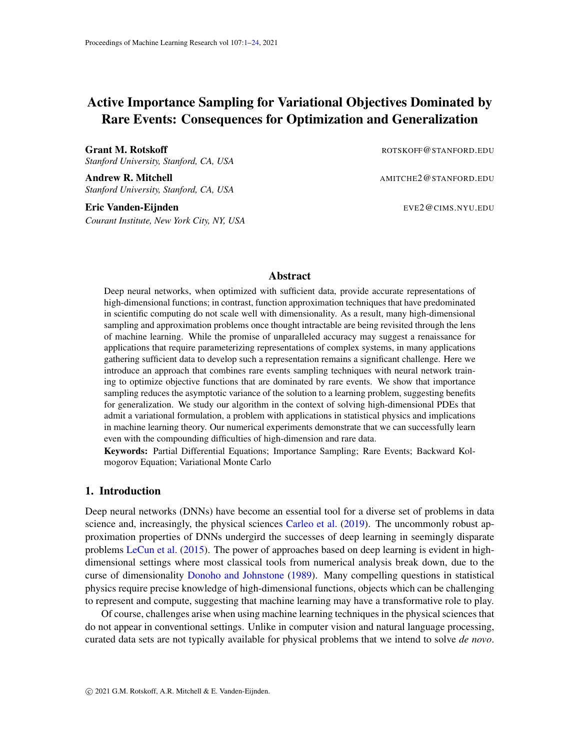# <span id="page-19-0"></span>Appendix A. One-dimensional example

To illustrate the necessity of importance sampling for objectives dominated by rare events, consider the one-dimensional committor problem associated with transitions between the minima located at  $x = x_1$  and  $x = x_2$  of the potential  $V(x) = (1 - x^2) + x/10$ , i.e. the minimization of

$$
\int_{-1}^{1} j q^{\theta}(x) j^2 e^{-\beta V(x)} dx \tag{A.1}
$$

The minimizer of this objective function subject to  $q(x_1) = 0$ ,  $q(x_2) = 1$  is

<span id="page-19-2"></span>
$$
q(x) = \frac{\int_{x_1}^{x} e^{\beta V(y)} dy}{\int_{x_1}^{x_2} e^{\beta V(y)} dy}
$$
 (A.2)



<span id="page-19-3"></span>Figure 4: The loss landscape  $L(a, b)$  in [\(A.4\)](#page-19-1) and the relative error on the estimator ( = std/loss) when the data is drawn from the Gibbs distribution with density  $Z_{[x_1,x_2]}^{-1} = e^{-\beta V(x)}$ restricted on  $x \nightharpoonup 2$  [ $x_1, x_2$ ]. At the minimum of the loss (located at the red dot), this relative error is about 60. Here  $\beta = 1/8$  (i.e. the energy barrier is  $8k_BT$ ) and the optimal parameters are  $a = 0.04$  and  $b = 0.11$ .

For large  $\beta$ , this function is sigmoid-like with a sharp transition from 0 to 1 around  $x = 0.1$ . Suppose that we want to approximate it using the parametric representation

$$
q(x;a,y) = \sigma((x-a)/b) \quad \text{where} \quad \sigma(z) = \frac{1}{1+e^{-z}} \tag{A.3}
$$

This function does not satisfy the boundary condition exactly, but for  $a$  around 0.1 and  $b$  small enough, it does a good job at representing the exact [\(A.2\)](#page-19-2) (see the top left panel in Fig. [1\)](#page-2-0). Accordingly, let us look at the loss function as a function of  $(a, b)$  in this parameter range, viewed as an expectation of  $jq^0(x; a, b)$  the Gibbs distribution with density  $e^{-\beta V(x)}$  restricted to  $x \, 2[x_1, x_2]$  and properly normalized on that interval:

<span id="page-19-1"></span>
$$
L(a,b) = Z_{\begin{bmatrix} 1 & a_{1},a_{2} \end{bmatrix}} \int_{x_{1}}^{x_{2}} j q^{\theta}(x;a,b) f^{\theta} e^{-\beta V(x)} dx \quad \text{with} \quad Z_{\begin{bmatrix} x_{1},x_{2} \end{bmatrix}}^{-1} \int_{x_{1}}^{x_{2}} e^{-\beta V(x)} dx \quad (A.4)
$$

where

$$
jq^{0}(x;a,b))^{2} = b^{-2}\sigma^{2}((x-a)/b)(1-\sigma((x-a)/b))
$$
 (A.5)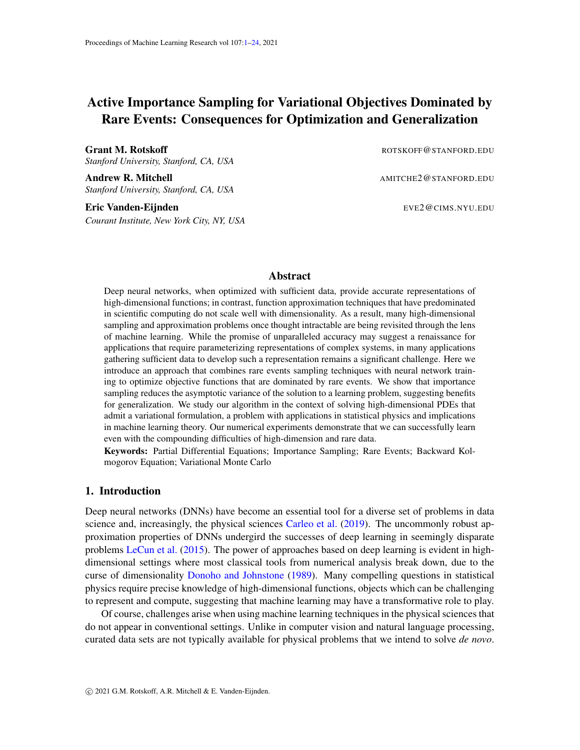The population and empirical losses were shown in in the bottom panels of Fig. [1:](#page-2-0) the latter was obtained by drawing 10<sup>4</sup> independent samples from  $Z[\frac{1}{x_1,x_2}]e^{-\beta V(x)}$  using a rejection method, resulting in the empirical distribution shown in the top right panel of Fig. [1.](#page-2-0) Here we compute an additional quantity: the variance of the estimator for the population loss if we use data sampled from  $Z_{[x_1, x_2]}^{\{7\}}e^{-\beta V(x)}$ . The result (together with the population loss) is shown in Fig. [4:](#page-19-3) when beta is large so that the energy barrier is also large in units of  $k_BT$  (here  $\beta = 1/8$ , so that the barrier is  $8k_BT$ ), the relative error on the loss becomes large in the regions close to the minimum of this loss.

Note that in this one-dimensional example, adding a regularizing term to the empirical loss improves its predictions. However this strategy will not be generically applicable to higher dimensional situations.

#### <span id="page-20-0"></span>Appendix B. Variance reduction improves generalization

**Proof** [Proof of Proposition [1\]](#page-5-2) Recall that the discrete time updates of the stochastic gradient descent dynamics are obtained from:

<span id="page-20-1"></span>
$$
\boldsymbol{\theta}^{k+1} = \boldsymbol{\theta}^k \quad \alpha \cap \boldsymbol{\theta} L_n(\boldsymbol{\theta}^k), \qquad k = 0, 1, 2, \dots \tag{B.1}
$$

Since the miniibatches are draw independently at every step and  $r_{\theta}L_n(\theta)$  is an unbiased estimator of  $\int \rho L(\theta)$ , in law [\(B.1\)](#page-20-1) is equivalent to

$$
\boldsymbol{\theta}^{k+1} = \boldsymbol{\theta}^k \quad \alpha \cap \boldsymbol{\theta} L(\boldsymbol{\theta}^k) + \frac{\alpha}{n} \cap \boldsymbol{\theta} \eta(\boldsymbol{\theta}^k), \qquad k = 0, 1, 2, \dots
$$
 (B.2)

where  $\eta$  is a random function with mean zero,  $E_{\nu} \eta(\theta) = 0$ , and covariance

$$
E_{\nu}\eta(\boldsymbol{\theta})\eta(\boldsymbol{\theta}^{\theta}) = E_{\nu}\ell(\boldsymbol{x},\boldsymbol{\theta})\ell(\boldsymbol{x},\boldsymbol{\theta}^{\theta}) \qquad L(\boldsymbol{\theta})L(\boldsymbol{\theta}^{\theta}). \tag{B.3}
$$

Let us introduce  $\boldsymbol{\theta}_n^k$  defined as

$$
\boldsymbol{\theta}_n^k = \sqrt{\frac{n}{\alpha}} \left( \boldsymbol{\theta}^k \quad \boldsymbol{\theta}^k \right) \tag{B.4}
$$

where  $\widehat{\tau} \theta^k g_{k2N_0}$  are the update from the GD scheme in [\(9\)](#page-5-0) so that

$$
\boldsymbol{\theta}_n^{k+1} = \boldsymbol{\theta}^k \quad \stackrel{D_{\overline{\alpha n}}}{}{\overline{\alpha n}} \big( \Gamma_{\boldsymbol{\theta}} L(\boldsymbol{\theta}^k + \sqrt{\alpha/n} \boldsymbol{\theta}_n^k) \quad \Gamma_{\boldsymbol{\theta}} L(\boldsymbol{\theta}^k) \big) + \stackrel{D_{\overline{\alpha}}}{\overline{\alpha}} \Gamma_{\boldsymbol{\theta}} \eta(\boldsymbol{\theta}^k + \sqrt{\alpha/n} \boldsymbol{\theta}_n^k). \tag{B.5}
$$

for  $k = 0, 1, 2, \ldots$  Taking the limit as  $n \neq 1$  shows that for each  $k \theta_n^k$  ${}_{n}^{k}$ to $\boldsymbol{\theta}^{k}$ , where  $\hat{\tau} \boldsymbol{\theta}^{k}$   $g_{k}$   $\chi$ <sub>No</sub> is the solution of the updating scheme

<span id="page-20-2"></span>
$$
\boldsymbol{\theta}^{k+1} = \boldsymbol{\theta}^k \quad \alpha H^k \boldsymbol{\theta}^k + \frac{D_{\alpha}}{\alpha} \mathbf{b}^k, \qquad k = 0, 1, 2, \dots
$$
 (B.6)

where  $H^k = r \theta r \theta L(\theta^k)$  and  $\theta^k g_{k2N_0}$  are random vector, independent for different k, with mean zero and covariance

$$
B^k = \mathbb{E}_{\nu} \boldsymbol{b}^k (\boldsymbol{b}^k)^T = \mathbb{E}_{\nu} \Gamma_{\boldsymbol{\theta}} \ell(\boldsymbol{x}, \boldsymbol{\theta}^k) (\Gamma_{\boldsymbol{\theta}} \ell(\boldsymbol{x}, \boldsymbol{\theta}^k))^T \quad \Gamma_{\boldsymbol{\theta}} L(\boldsymbol{\theta}^k) (\Gamma_{\boldsymbol{\theta}} L(\boldsymbol{\theta}^k))^T
$$
(B.7)

which we assume to be non-zero when the data set is finite.

Next note that the limiting sequence  $f \theta^k g_{k2N_0}$  can be used to deduce that

<span id="page-20-3"></span>
$$
\lim_{n \to \infty} n \mathbb{E}_D[L(\boldsymbol{\theta}^k) \quad L(\boldsymbol{\theta}^k)] = \frac{1}{2} \text{tr}[C^k H^k] \qquad \text{where} \quad C^k = \mathbb{E}_D \boldsymbol{\theta}^k (\boldsymbol{\theta}^k)^T \tag{B.8}
$$

From [\(B.6\)](#page-20-2), the tensor  $C^k$  satisfies

$$
C^{k+1} = C^k \quad \alpha H^k C^k \quad \alpha C^k H^k + \alpha^2 H^k C^k H^k + \alpha B^k \tag{B.9}
$$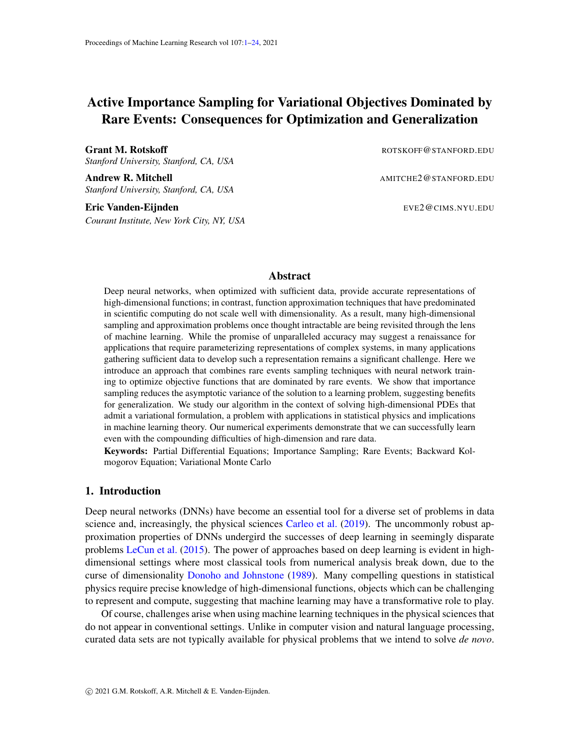with  $C^0 = 0$  which follows from  $\boldsymbol{\theta}^0 = 0$  since  $\boldsymbol{\theta}^0 = \boldsymbol{\theta}^0$ . By Assumption [2,](#page-5-0) as k ! 1,  $H^k$  ! H, which is the positive-definite tensor defined in [\(10\)](#page-5-5), and  $B^k$  !  $\overrightarrow{B}$ , which is the tensor defined in [\(13\)](#page-5-3). This guarantees that  $\lim_{k \to \infty} C^k = C$ , where C is the solution to [\(12\)](#page-5-4). From [\(B.8\)](#page-20-3), it also implies that

$$
\lim_{k \to -\infty} \lim_{n \to -\infty} n \mathbb{E}_D[L(\boldsymbol{\theta}^k) \quad L(\boldsymbol{\theta}^k)] = \lim_{k \to -\infty} \lim_{n \to -\infty} n \mathbb{E}_D[L(\boldsymbol{\theta}^k) \quad L(\boldsymbol{\theta})] = \frac{1}{2} \text{tr}[C \ H \ ] \tag{B.10}
$$

which establishes  $(11)$  and ends the proof.

Note that, from [\(B.6\)](#page-20-2), the *k*th iterate of  $\boldsymbol{\theta}^k$  is (using  $\boldsymbol{\theta}^0 = 0$  with follows from  $\boldsymbol{\theta}^0 = \boldsymbol{\theta}^0$ )

$$
\boldsymbol{\theta}^{k} = \frac{P_{\alpha} \sum_{p=0}^{k-1} \prod_{q=0}^{p} (1 - \alpha H^{q}) \boldsymbol{b}^{k-p}}{(B.11)}
$$

 $\blacksquare$ 

from which we can get more detailed information about the statistics of the sequence. Note also that, in the limit as  $\alpha$  ! 0, [\(B.6\)](#page-20-2) reduces to an SDE similar to that of an Ornstein-Uhlenbeck process.

# <span id="page-21-0"></span>Appendix C. Active sampling by reweighting

The results of Sec. [2](#page-4-1) indicate that the variance of the estimator for the gradient of the population loss dominates the generalization error. In view of this, at every step of SGD, instead of sampling the original measure  $\nu$ , an option is to sample a modified measure  $\nu$  and reweight the samples in the estimator accordingly, in such a way as to minimize the variance of this estimator. To make this concrete let  $g(x) = d\nu/d\nu$  be the Radon-Nikodym derivative of  $\nu$  with respect to  $\nu$ , assume that g is positive everywhere, and let  $f_{\mathbf{x}}^{n}$   $g_{i=1}^{n}$  be a batch of independent samples draw from  $\nu$ . Then

$$
\frac{1}{n}\sum_{i=1}^{n} \Gamma_{\theta} \ell(\boldsymbol{x}_i, \boldsymbol{\theta}) g^{-1}(\boldsymbol{x}_i)
$$
\n(C.1)

is an unbiased estimator for the gradient of population loss and the choice of  $\nu$  that minimizes the variance of this estimator, i.e. minimizes

$$
\int j\Gamma_{\theta}\ell(\boldsymbol{x},\boldsymbol{\theta})j^{2}g^{-2}(\boldsymbol{x})d\nu(\boldsymbol{x})=\int j\Gamma_{\theta}\ell(\boldsymbol{x}_{i},\boldsymbol{\theta})j^{2}g^{-1}(\boldsymbol{x}_{i})d\nu(\boldsymbol{x}),
$$
\n(C.2)

is

<span id="page-21-2"></span>
$$
d\nu(x) = g(x)d\nu(x) \qquad \text{with} \qquad g(x) = \frac{j\Gamma_{\theta}\ell(x,\theta)j}{\mathbb{E}_{\nu}j\Gamma_{\theta}\ell(\theta,j)} \tag{C.3}
$$

An obvious difficulty with this estimator is that the reweighting factor  $g(x)$  contains the factor  $E_\nu/r_\theta \ell(\theta)$ which we do not know. Still, in the context of optimization by SGD, it is useful since any unknown constant entering the gradient of the loss can be absorbed in the learning rate. To see why consider the following scheme: Starting from some initial value  $\boldsymbol{\theta}^0$ , update these parameters using the iteration rule

<span id="page-21-1"></span>
$$
\boldsymbol{\theta}^{k+1} = \boldsymbol{\theta}^k \quad \frac{\alpha}{n} \sum_{i=1}^n \frac{\Gamma \boldsymbol{\theta} \ell(\boldsymbol{x}_i, \boldsymbol{\theta}^k)}{j \Gamma \boldsymbol{\theta} \ell(\boldsymbol{x}_i, \boldsymbol{\theta}^k)} , \qquad k = 0, 1, 2, \dots
$$
 (C.4)

where the batch  $f_{\mathcal{X}_i} \mathcal{G}_{i=1}^n$  contains independent samples from

$$
d\nu_k(\boldsymbol{x}) = Z_k^{-1} j \Gamma_\theta \ell(\boldsymbol{x}, \boldsymbol{\theta}^k) j d\nu(\boldsymbol{x}) \quad \text{with} \quad Z_k = E_\nu j \Gamma_\theta \ell(\cdot, \boldsymbol{\theta}^k) j. \tag{C.5}
$$

Note that this measure can be sampled by the Metropolis-Hastings method or the Metropolis-adjusted Langevin algorithm without requiring to know its normalization factor  $Z_k$ . Under Assumption [2](#page-5-0) we can prove the following equivalent of  $(11)$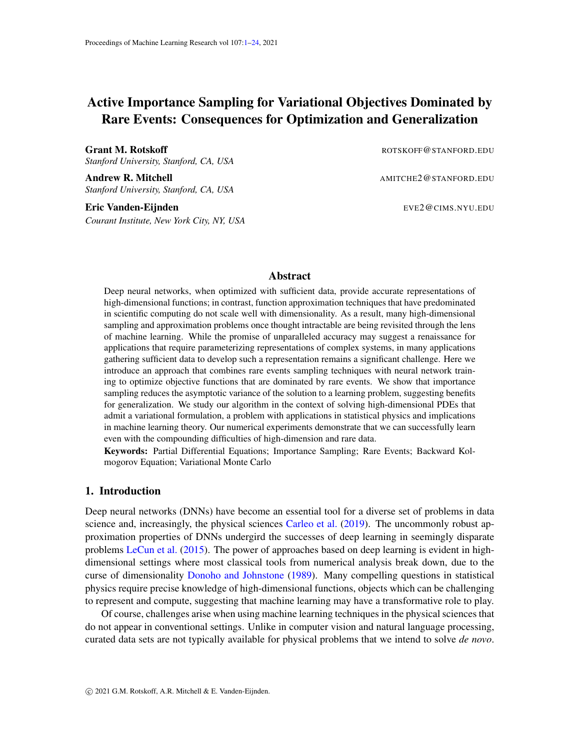**Proposition C.1** The sequence  $f\theta^k g_{k2N_0}$  obtained using the SGD update in [\(C.4\)](#page-21-1) starting from  $\theta^0 = \theta^0$ and using an independent batch of data  $\lceil \bm{x}_i g \rceil_{i=1}^n$  drawn from  $\nu^k$  at every step is such that

$$
\lim_{k \to -\infty} \lim_{n \to -\infty} n \mathbb{E}_D[L_n(\boldsymbol{\theta}^k) \quad L(\boldsymbol{\theta})] = \frac{1}{2} \alpha \, \text{tr}[C \ H] \tag{C.6}
$$

where  $\mathsf{E}_D$  denotes expectation over all the batches used to compute the sequence  $\bm{\theta}^k$ , and  $C$  *is the*  $N$  *N tensor that solves*

$$
H C + C H \quad \alpha C H C = B \tag{C.7}
$$

*Here* B~ *is*

$$
B = \int \frac{\rho \, \rho \ell(x, \theta) [\rho \, \rho \ell(x, \theta)]^T}{\int \rho \ell(x, \theta) \, \rho^2} \, d\nu \, (x) \tag{C.8}
$$

*where*

$$
d\nu(x) = Z^{-1}j\Gamma_{\theta}\ell(x,\theta) / d\nu(x) \quad \text{with} \quad Z = E_{\nu}j\Gamma_{\theta}\ell(\theta) /.
$$
 (C.9)

The proof of this proposition is similar to that of Proposition [1.](#page-5-2) For small  $\alpha$ , this shows again that the error will be controlled by  $tr B$ , which is now trivially given by

<span id="page-22-1"></span>
$$
\text{tr}\,B = 1\tag{C.10}
$$

This result may look surprising but it is a consequence of the fact that, by using [\(C.4\)](#page-21-1) we have effectively absorbed in the learning rate the unknown factor  $E_{\nu}/\rho \ell(\theta, \theta)$  entering the weights  $q(x)$  defined in [\(C.3\)](#page-21-2). If we had not done this,  $\text{tr } B~$  in [\(C.10\)](#page-22-1) would be replaced by  $\int_{-\infty}^{\infty} \int_{-\infty}^{\infty} \theta(\theta, \theta) f(x) dx$ ; this provides a point of compar-ison with the scheme discussed in Proposition [1,](#page-5-2) since from [\(13\)](#page-5-3)  $\text{tr } B = \mathbb{E}_{\nu} \int r \theta \ell ( , \theta ) f^2 = \int \mathbb{E}_{\nu} \int r \theta \ell ( , \theta ) f^2$ . Therefore we would reduce the variance.

Coming back to the scheme defined by  $(C.4)$ , one feature that makes it somewhat academic is that we still need to sample  $\nu_k$ : while this can in principle be done via the Metropolis-Hastings method or the Metropolisadjusted Langevin algorithm, we have no guarantees that this sampling will be fast—for example, even if  $\nu$  has a density  $\rho(x)$  with respect to the Hausdorff measure on, there is no guarantee that its potential

log  $\rho(x)$  will be convex or even that it will have a single minimum. For these reasons, we instead implement the alternative active importance sampling strategy based on umbrella sampling and replica exchange which we deem more robust and more widely applicable.

## <span id="page-22-0"></span>Appendix D. Approximation of the committor with a neural network

#### D.1. Representation

Neural networks (NN) offer flexibility to the representation and relative ease of optimization, making them a natural choice for a representation of the committor. For example, if we use a single hidden layer neural network with nonlinearity  $\varphi$  (e.g., ReLU) passed through a thresholding function  $\sigma$  (e.g., a sigmoid function,  $\sigma(z) = 1/(1 + e^{-z})$ ) to ensures that  $q(x) \neq [0, 1]$ ,  $\partial x \neq \mathbb{R}^d$ , this amounts to taking

<span id="page-22-2"></span>
$$
q(\boldsymbol{x}, \boldsymbol{\theta}) = \sigma \left[ \frac{1}{n} \sum_{i=1}^{n} \varphi(\boldsymbol{x}, \boldsymbol{\theta}_{i}) \right]
$$
 (D.1)

where we use  $\theta_i$  with  $i = 1, \ldots, n$  to denote the parameters in each neural units and  $\theta = (\theta_1, \ldots, \theta_n)$  to denote all of them collectively. In practice, the architecture of the neural network will be substantially more intricate than the single hidden layer network  $(D.1)$ .